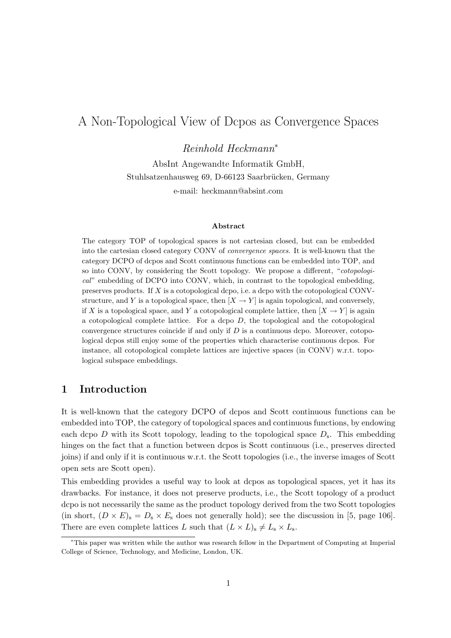# A Non-Topological View of Dcpos as Convergence Spaces

Reinhold Heckmann<sup>∗</sup>

AbsInt Angewandte Informatik GmbH, Stuhlsatzenhausweg 69, D-66123 Saarbrücken, Germany e-mail: heckmann@absint.com

#### Abstract

The category TOP of topological spaces is not cartesian closed, but can be embedded into the cartesian closed category CONV of convergence spaces. It is well-known that the category DCPO of dcpos and Scott continuous functions can be embedded into TOP, and so into CONV, by considering the Scott topology. We propose a different, "cotopological" embedding of DCPO into CONV, which, in contrast to the topological embedding, preserves products. If X is a cotopological dcpo, i.e. a dcpo with the cotopological CONVstructure, and Y is a topological space, then  $[X \rightarrow Y]$  is again topological, and conversely, if X is a topological space, and Y a cotopological complete lattice, then  $[X \to Y]$  is again a cotopological complete lattice. For a dcpo  $D$ , the topological and the cotopological convergence structures coincide if and only if  $D$  is a continuous dcpo. Moreover, cotopological dcpos still enjoy some of the properties which characterise continuous dcpos. For instance, all cotopological complete lattices are injective spaces (in CONV) w.r.t. topological subspace embeddings.

## 1 Introduction

It is well-known that the category DCPO of dcpos and Scott continuous functions can be embedded into TOP, the category of topological spaces and continuous functions, by endowing each dcpo  $D$  with its Scott topology, leading to the topological space  $D_s$ . This embedding hinges on the fact that a function between dcpos is Scott continuous (i.e., preserves directed joins) if and only if it is continuous w.r.t. the Scott topologies (i.e., the inverse images of Scott open sets are Scott open).

This embedding provides a useful way to look at dcpos as topological spaces, yet it has its drawbacks. For instance, it does not preserve products, i.e., the Scott topology of a product dcpo is not necessarily the same as the product topology derived from the two Scott topologies (in short,  $(D \times E)_{s} = D_{s} \times E_{s}$  does not generally hold); see the discussion in [5, page 106]. There are even complete lattices L such that  $(L \times L)_{s} \neq L_{s} \times L_{s}$ .

<sup>∗</sup>This paper was written while the author was research fellow in the Department of Computing at Imperial College of Science, Technology, and Medicine, London, UK.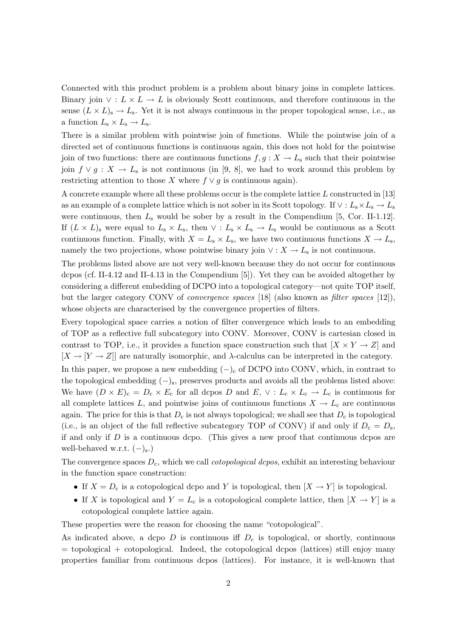Connected with this product problem is a problem about binary joins in complete lattices. Binary join  $\vee: L \times L \to L$  is obviously Scott continuous, and therefore continuous in the sense  $(L \times L)_{s} \to L_{s}$ . Yet it is not always continuous in the proper topological sense, i.e., as a function  $L_s \times L_s \rightarrow L_s$ .

There is a similar problem with pointwise join of functions. While the pointwise join of a directed set of continuous functions is continuous again, this does not hold for the pointwise join of two functions: there are continuous functions  $f, g: X \to L_{s}$  such that their pointwise join  $f \vee g : X \to L_{s}$  is not continuous (in [9, 8], we had to work around this problem by restricting attention to those X where  $f \vee q$  is continuous again).

A concrete example where all these problems occur is the complete lattice L constructed in [13] as an example of a complete lattice which is not sober in its Scott topology. If  $\vee : L_{s} \times L_{s} \to L_{s}$ were continuous, then  $L_s$  would be sober by a result in the Compendium [5, Cor. II-1.12]. If  $(L \times L)$ <sub>s</sub> were equal to  $L_s \times L_s$ , then  $\vee$  :  $L_s \times L_s \rightarrow L_s$  would be continuous as a Scott continuous function. Finally, with  $X = L_s \times L_s$ , we have two continuous functions  $X \to L_s$ , namely the two projections, whose pointwise binary join  $\vee : X \to L_{s}$  is not continuous.

The problems listed above are not very well-known because they do not occur for continuous dcpos (cf. II-4.12 and II-4.13 in the Compendium [5]). Yet they can be avoided altogether by considering a different embedding of DCPO into a topological category—not quite TOP itself, but the larger category CONV of convergence spaces [18] (also known as filter spaces [12]), whose objects are characterised by the convergence properties of filters.

Every topological space carries a notion of filter convergence which leads to an embedding of TOP as a reflective full subcategory into CONV. Moreover, CONV is cartesian closed in contrast to TOP, i.e., it provides a function space construction such that  $[X \times Y \to Z]$  and  $[X \to [Y \to Z]]$  are naturally isomorphic, and  $\lambda$ -calculus can be interpreted in the category. In this paper, we propose a new embedding  $(-)$ <sub>c</sub> of DCPO into CONV, which, in contrast to the topological embedding  $(-)_s$ , preserves products and avoids all the problems listed above: We have  $(D \times E)_c = D_c \times E_c$  for all dcpos D and  $E$ ,  $\vee : L_c \times L_c \to L_c$  is continuous for all complete lattices L, and pointwise joins of continuous functions  $X \to L_c$  are continuous again. The price for this is that  $D_c$  is not always topological; we shall see that  $D_c$  is topological (i.e., is an object of the full reflective subcategory TOP of CONV) if and only if  $D_c = D_s$ , if and only if  $D$  is a continuous dcpo. (This gives a new proof that continuous dcpos are well-behaved w.r.t.  $(-)_s$ .)

The convergence spaces  $D_c$ , which we call *cotopological dcpos*, exhibit an interesting behaviour in the function space construction:

- If  $X = D_c$  is a cotopological dcpo and Y is topological, then  $[X \to Y]$  is topological.
- If X is topological and  $Y = L_c$  is a cotopological complete lattice, then  $[X \to Y]$  is a cotopological complete lattice again.

These properties were the reason for choosing the name "cotopological".

As indicated above, a dcpo  $D$  is continuous iff  $D<sub>c</sub>$  is topological, or shortly, continuous  $=$  topological + cotopological. Indeed, the cotopological dcpos (lattices) still enjoy many properties familiar from continuous dcpos (lattices). For instance, it is well-known that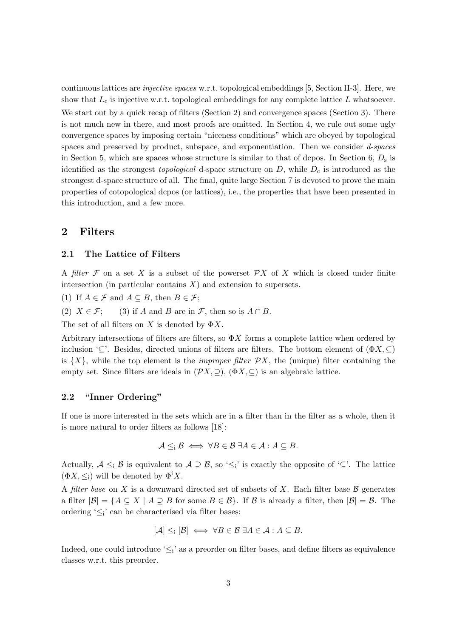continuous lattices are injective spaces w.r.t. topological embeddings [5, Section II-3]. Here, we show that  $L_c$  is injective w.r.t. topological embeddings for any complete lattice  $L$  whatsoever. We start out by a quick recap of filters (Section 2) and convergence spaces (Section 3). There is not much new in there, and most proofs are omitted. In Section 4, we rule out some ugly convergence spaces by imposing certain "niceness conditions" which are obeyed by topological spaces and preserved by product, subspace, and exponentiation. Then we consider d-spaces in Section 5, which are spaces whose structure is similar to that of dcpos. In Section 6,  $D_s$  is identified as the strongest *topological* d-space structure on  $D$ , while  $D<sub>c</sub>$  is introduced as the strongest d-space structure of all. The final, quite large Section 7 is devoted to prove the main properties of cotopological dcpos (or lattices), i.e., the properties that have been presented in this introduction, and a few more.

### 2 Filters

### 2.1 The Lattice of Filters

A filter  $\mathcal F$  on a set X is a subset of the powerset  $\mathcal P X$  of X which is closed under finite intersection (in particular contains  $X$ ) and extension to supersets.

(1) If  $A \in \mathcal{F}$  and  $A \subseteq B$ , then  $B \in \mathcal{F}$ ;

(2)  $X \in \mathcal{F}$ ; (3) if A and B are in  $\mathcal{F}$ , then so is  $A \cap B$ .

The set of all filters on X is denoted by  $\Phi X$ .

Arbitrary intersections of filters are filters, so  $\Phi X$  forms a complete lattice when ordered by inclusion '⊆'. Besides, directed unions of filters are filters. The bottom element of  $(\Phi X, \subseteq)$ is  $\{X\}$ , while the top element is the *improper filter*  $\mathcal{P}X$ , the (unique) filter containing the empty set. Since filters are ideals in  $(\mathcal{P}X, \supseteq), (\Phi X, \subseteq)$  is an algebraic lattice.

#### 2.2 "Inner Ordering"

If one is more interested in the sets which are in a filter than in the filter as a whole, then it is more natural to order filters as follows [18]:

$$
\mathcal{A} \leq_{\mathrm{i}} \mathcal{B} \iff \forall B \in \mathcal{B} \ \exists A \in \mathcal{A} : A \subseteq B.
$$

Actually,  $A \leq_i B$  is equivalent to  $A \supseteq B$ , so ' $\leq_i$ ' is exactly the opposite of ' $\subseteq$ '. The lattice  $(\Phi X, \leq_i)$  will be denoted by  $\Phi^i X$ .

A filter base on X is a downward directed set of subsets of X. Each filter base  $\beta$  generates a filter  $[\mathcal{B}] = \{A \subseteq X \mid A \supseteq B$  for some  $B \in \mathcal{B}\}$ . If  $\mathcal{B}$  is already a filter, then  $[\mathcal{B}] = \mathcal{B}$ . The ordering ' $\leq i$ ' can be characterised via filter bases:

$$
[\mathcal{A}] \leq_i [\mathcal{B}] \iff \forall B \in \mathcal{B} \ \exists A \in \mathcal{A} : A \subseteq B.
$$

Indeed, one could introduce ' $\leq i$ ' as a preorder on filter bases, and define filters as equivalence classes w.r.t. this preorder.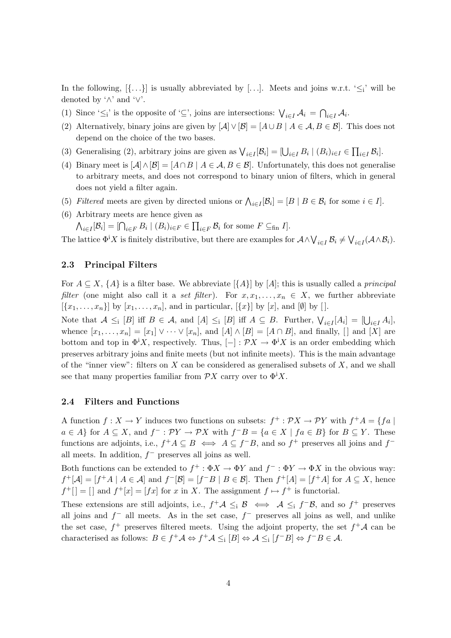In the following,  $[\{\ldots\}]$  is usually abbreviated by [...]. Meets and joins w.r.t. ' $\leq_i$ ' will be denoted by  $\wedge$ ' and  $\vee$ '.

- (1) Since ' $\leq_i$ ' is the opposite of '⊆', joins are intersections:  $\bigvee_{i\in I} A_i = \bigcap_{i\in I} A_i$ .
- (2) Alternatively, binary joins are given by  $[\mathcal{A}] \vee [\mathcal{B}] = [A \cup B \mid A \in \mathcal{A}, B \in \mathcal{B}]$ . This does not depend on the choice of the two bases.
- (3) Generalising (2), arbitrary joins are given as  $\bigvee_{i\in I} [\mathcal{B}_i] = [\bigcup_{i\in I} B_i \mid (B_i)_{i\in I} \in \prod_{i\in I} \mathcal{B}_i].$
- (4) Binary meet is  $[\mathcal{A}] \wedge [\mathcal{B}] = [A \cap B \mid A \in \mathcal{A}, B \in \mathcal{B}]$ . Unfortunately, this does not generalise to arbitrary meets, and does not correspond to binary union of filters, which in general does not yield a filter again.
- (5) Filtered meets are given by directed unions or  $\bigwedge_{i\in I} [\mathcal{B}_i] = [B \mid B \in \mathcal{B}_i \text{ for some } i \in I].$
- (6) Arbitrary meets are hence given as

 $\bigwedge_{i\in I} [\mathcal{B}_i] = [\bigcap_{i\in F} B_i \mid (B_i)_{i\in F} \in \prod_{i\in F} \mathcal{B}_i \text{ for some } F \subseteq_{\text{fin}} I].$ 

The lattice  $\Phi^i X$  is finitely distributive, but there are examples for  $\mathcal{A} \wedge \bigvee_{i \in I} \mathcal{B}_i \neq \bigvee_{i \in I} (\mathcal{A} \wedge \mathcal{B}_i).$ 

#### 2.3 Principal Filters

For  $A \subseteq X$ ,  $\{A\}$  is a filter base. We abbreviate  $\{\{A\}\}\$  by  $[A]$ ; this is usually called a *principal* filter (one might also call it a set filter). For  $x, x_1, \ldots, x_n \in X$ , we further abbreviate  $[\{x_1, \ldots, x_n\}]$  by  $[x_1, \ldots, x_n]$ , and in particular,  $[\{x\}]$  by  $[x]$ , and  $[\emptyset]$  by  $[$ .

Note that  $A \leq_i [B]$  iff  $B \in \mathcal{A}$ , and  $[A] \leq_i [B]$  iff  $A \subseteq B$ . Further,  $\bigvee_{i \in I} [A_i] = [\bigcup_{i \in I} A_i]$ , whence  $[x_1, \ldots, x_n] = [x_1] \vee \cdots \vee [x_n]$ , and  $[A] \wedge [B] = [A \cap B]$ , and finally, [] and  $[X]$  are bottom and top in  $\Phi^i X$ , respectively. Thus,  $[-]: \mathcal{P} X \to \Phi^i X$  is an order embedding which preserves arbitrary joins and finite meets (but not infinite meets). This is the main advantage of the "inner view": filters on  $X$  can be considered as generalised subsets of  $X$ , and we shall see that many properties familiar from  $\mathcal{P}X$  carry over to  $\Phi^i X$ .

#### 2.4 Filters and Functions

A function  $f: X \to Y$  induces two functions on subsets:  $f^+ : \mathcal{P} X \to \mathcal{P} Y$  with  $f^+ A = \{f a \mid$  $a \in A$  for  $A \subseteq X$ , and  $f^- : \mathcal{P}Y \to \mathcal{P}X$  with  $f^-B = \{a \in X \mid fa \in B\}$  for  $B \subseteq Y$ . These functions are adjoints, i.e.,  $f^+A \subseteq B \iff A \subseteq f^-B$ , and so  $f^+$  preserves all joins and  $f^$ all meets. In addition,  $f^-$  preserves all joins as well.

Both functions can be extended to  $f^+ : \Phi X \to \Phi Y$  and  $f^- : \Phi Y \to \Phi X$  in the obvious way:  $f^+[\mathcal{A}] = [f^+A \mid A \in \mathcal{A}]$  and  $f^-[\mathcal{B}] = [f^-B \mid B \in \mathcal{B}]$ . Then  $f^+[A] = [f^+A]$  for  $A \subseteq X$ , hence  $f^+$ [] = [] and  $f^+[x] = [fx]$  for x in X. The assignment  $f \mapsto f^+$  is functorial.

These extensions are still adjoints, i.e.,  $f^+ \mathcal{A} \leq_i \mathcal{B} \iff \mathcal{A} \leq_i f^- \mathcal{B}$ , and so  $f^+$  preserves all joins and  $f^-$  all meets. As in the set case,  $f^-$  preserves all joins as well, and unlike the set case,  $f^+$  preserves filtered meets. Using the adjoint property, the set  $f^+A$  can be characterised as follows:  $B \in f^+ \mathcal{A} \Leftrightarrow f^+ \mathcal{A} \leq_i [B] \Leftrightarrow \mathcal{A} \leq_i [f^- B] \Leftrightarrow f^- B \in \mathcal{A}$ .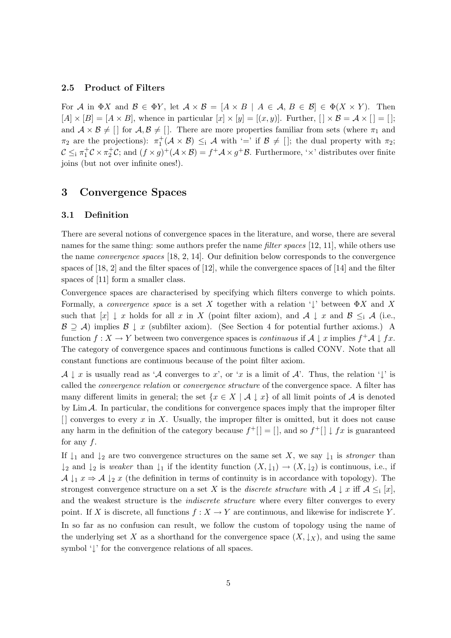### 2.5 Product of Filters

For A in  $\Phi X$  and  $\mathcal{B} \in \Phi Y$ , let  $\mathcal{A} \times \mathcal{B} = [A \times B \mid A \in \mathcal{A}, B \in \mathcal{B}] \in \Phi(X \times Y)$ . Then  $[A] \times [B] = [A \times B]$ , whence in particular  $[x] \times [y] = [(x, y)]$ . Further,  $[| \times B = A \times [] = []$ ; and  $A \times B \neq [$  for  $A, B \neq [$ . There are more properties familiar from sets (where  $\pi_1$  and  $\pi_2$  are the projections):  $\pi_1^+(\mathcal{A} \times \mathcal{B}) \leq_i \mathcal{A}$  with '=' if  $\mathcal{B} \neq [$ ; the dual property with  $\pi_2$ ;  $\mathcal{C} \leq_i \pi_1^+\mathcal{C} \times \pi_2^+\mathcal{C}$ ; and  $(f \times g)^+(\mathcal{A} \times \mathcal{B}) = f^+\mathcal{A} \times g^+\mathcal{B}$ . Furthermore, ' $\times$ ' distributes over finite joins (but not over infinite ones!).

### 3 Convergence Spaces

#### 3.1 Definition

There are several notions of convergence spaces in the literature, and worse, there are several names for the same thing: some authors prefer the name *filter spaces* [12, 11], while others use the name convergence spaces [18, 2, 14]. Our definition below corresponds to the convergence spaces of [18, 2] and the filter spaces of [12], while the convergence spaces of [14] and the filter spaces of [11] form a smaller class.

Convergence spaces are characterised by specifying which filters converge to which points. Formally, a convergence space is a set X together with a relation ' $\downarrow$ ' between  $\Phi X$  and X such that  $[x] \downarrow x$  holds for all x in X (point filter axiom), and  $A \downarrow x$  and  $B \leq_i A$  (i.e.,  $\mathcal{B} \supseteq \mathcal{A}$ ) implies  $\mathcal{B} \downarrow x$  (subfilter axiom). (See Section 4 for potential further axioms.) A function  $f: X \to Y$  between two convergence spaces is *continuous* if  $A \downarrow x$  implies  $f^+ A \downarrow fx$ . The category of convergence spaces and continuous functions is called CONV. Note that all constant functions are continuous because of the point filter axiom.

 $\mathcal{A} \downarrow x$  is usually read as 'A converges to x', or 'x is a limit of A'. Thus, the relation ' $\downarrow$ ' is called the convergence relation or convergence structure of the convergence space. A filter has many different limits in general; the set  $\{x \in X \mid A \downarrow x\}$  of all limit points of A is denoted by  $\lim_{\Delta} A$ . In particular, the conditions for convergence spaces imply that the improper filter  $\lceil \rceil$  converges to every x in X. Usually, the improper filter is omitted, but it does not cause any harm in the definition of the category because  $f^+[\ ] = [\ ]$ , and so  $f^+[\ ] \downarrow fx$  is guaranteed for any  $f$ .

If  $\downarrow_1$  and  $\downarrow_2$  are two convergence structures on the same set X, we say  $\downarrow_1$  is *stronger* than  $\downarrow_2$  and  $\downarrow_2$  is weaker than  $\downarrow_1$  if the identity function  $(X, \downarrow_1) \to (X, \downarrow_2)$  is continuous, i.e., if  $\mathcal{A} \downarrow_1 x \Rightarrow \mathcal{A} \downarrow_2 x$  (the definition in terms of continuity is in accordance with topology). The strongest convergence structure on a set X is the *discrete structure* with  $A \downarrow x$  iff  $A \leq_i [x]$ , and the weakest structure is the *indiscrete structure* where every filter converges to every point. If X is discrete, all functions  $f: X \to Y$  are continuous, and likewise for indiscrete Y. In so far as no confusion can result, we follow the custom of topology using the name of the underlying set X as a shorthand for the convergence space  $(X, \downarrow_X)$ , and using the same symbol '↓' for the convergence relations of all spaces.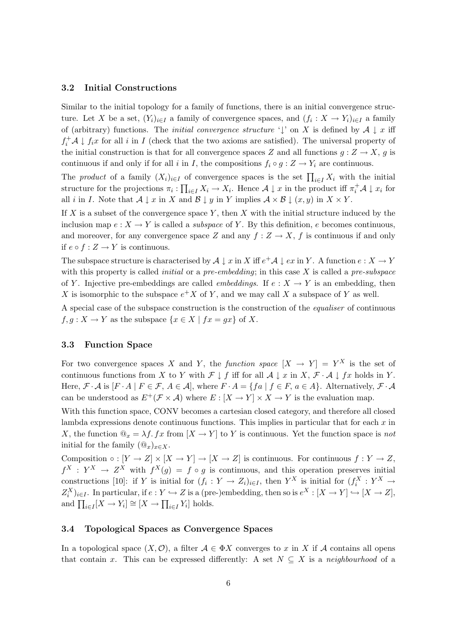### 3.2 Initial Constructions

Similar to the initial topology for a family of functions, there is an initial convergence structure. Let X be a set,  $(Y_i)_{i \in I}$  a family of convergence spaces, and  $(f_i: X \to Y_i)_{i \in I}$  a family of (arbitrary) functions. The *initial convergence structure*  $\downarrow$  on X is defined by  $\mathcal{A} \downarrow x$  iff  $f_i^+ A \downarrow f_i x$  for all i in I (check that the two axioms are satisfied). The universal property of the initial construction is that for all convergence spaces Z and all functions  $g: Z \to X$ , g is continuous if and only if for all i in I, the compositions  $f_i \circ g : Z \to Y_i$  are continuous.

The product of a family  $(X_i)_{i\in I}$  of convergence spaces is the set  $\prod_{i\in I} X_i$  with the initial structure for the projections  $\pi_i: \prod_{i \in I} X_i \to X_i$ . Hence  $\mathcal{A} \downarrow x$  in the product iff  $\pi_i^+ \mathcal{A} \downarrow x_i$  for all i in I. Note that  $A \downarrow x$  in X and  $B \downarrow y$  in Y implies  $A \times B \downarrow (x, y)$  in  $X \times Y$ .

If X is a subset of the convergence space Y, then X with the initial structure induced by the inclusion map  $e: X \to Y$  is called a *subspace* of Y. By this definition, e becomes continuous, and moreover, for any convergence space Z and any  $f: Z \to X$ , f is continuous if and only if  $e ∘ f : Z → Y$  is continuous.

The subspace structure is characterised by  $A \downarrow x$  in X iff  $e^+ A \downarrow ex$  in Y. A function  $e: X \to Y$ with this property is called *initial* or a *pre-embedding*; in this case X is called a *pre-subspace* of Y. Injective pre-embeddings are called *embeddings*. If  $e: X \to Y$  is an embedding, then X is isomorphic to the subspace  $e^+X$  of Y, and we may call X a subspace of Y as well.

A special case of the subspace construction is the construction of the equaliser of continuous  $f, g: X \to Y$  as the subspace  $\{x \in X \mid fx = gx\}$  of X.

#### 3.3 Function Space

For two convergence spaces X and Y, the function space  $[X \to Y] = Y^X$  is the set of continuous functions from X to Y with  $\mathcal{F} \downarrow f$  iff for all  $\mathcal{A} \downarrow x$  in  $X, \mathcal{F} \cdot \mathcal{A} \downarrow fx$  holds in Y. Here,  $\mathcal{F} \cdot \mathcal{A}$  is  $[F \cdot A \mid F \in \mathcal{F}, A \in \mathcal{A}]$ , where  $F \cdot A = \{fa \mid f \in F, a \in A\}$ . Alternatively,  $\mathcal{F} \cdot \mathcal{A}$ can be understood as  $E^+(\mathcal{F} \times \mathcal{A})$  where  $E : [X \to Y] \times X \to Y$  is the evaluation map.

With this function space, CONV becomes a cartesian closed category, and therefore all closed lambda expressions denote continuous functions. This implies in particular that for each  $x$  in X, the function  $\mathbb{Q}_x = \lambda f$ . fx from  $[X \to Y]$  to Y is continuous. Yet the function space is not initial for the family  $(\mathbb{Q}_x)_{x\in X}$ .

Composition  $\circ : [Y \to Z] \times [X \to Y] \to [X \to Z]$  is continuous. For continuous  $f : Y \to Z$ ,  $f^X: Y^X \to Z^X$  with  $f^X(g) = f \circ g$  is continuous, and this operation preserves initial constructions [10]: if Y is initial for  $(f_i: Y \to Z_i)_{i \in I}$ , then  $Y^X$  is initial for  $(f_i^X: Y^X \to Y_i^X)$  $Z_i^X|_{i\in I}$ . In particular, if  $e: Y \hookrightarrow Z$  is a (pre-)embedding, then so is  $e^X: [X \to Y] \hookrightarrow [X \to Z]$ , and  $\prod_{i\in I} [X \to Y_i] \cong [X \to \prod_{i\in I} Y_i]$  holds.

#### 3.4 Topological Spaces as Convergence Spaces

In a topological space  $(X, \mathcal{O})$ , a filter  $\mathcal{A} \in \Phi X$  converges to x in X if A contains all opens that contain x. This can be expressed differently: A set  $N \subseteq X$  is a neighbourhood of a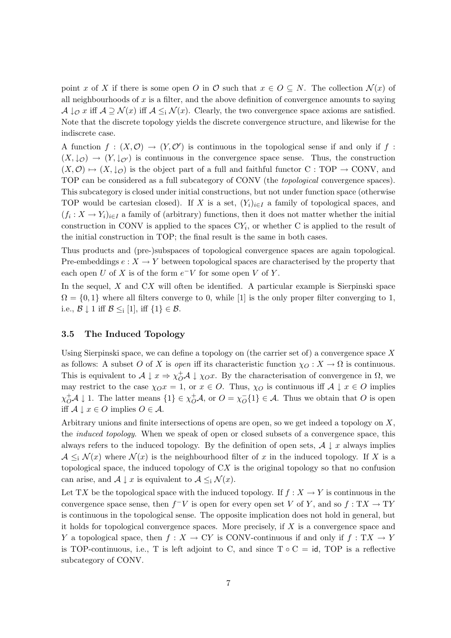point x of X if there is some open O in  $\mathcal O$  such that  $x \in O \subseteq N$ . The collection  $\mathcal N(x)$  of all neighbourhoods of  $x$  is a filter, and the above definition of convergence amounts to saying  $\mathcal{A} \downarrow_{\mathcal{O}} x$  iff  $\mathcal{A} \supseteq \mathcal{N}(x)$  iff  $\mathcal{A} \leq_{i} \mathcal{N}(x)$ . Clearly, the two convergence space axioms are satisfied. Note that the discrete topology yields the discrete convergence structure, and likewise for the indiscrete case.

A function  $f: (X, \mathcal{O}) \to (Y, \mathcal{O}')$  is continuous in the topological sense if and only if f:  $(X, \downarrow_{\mathcal{O}}) \rightarrow (Y, \downarrow_{\mathcal{O}})$  is continuous in the convergence space sense. Thus, the construction  $(X, \mathcal{O}) \mapsto (X, \downarrow_{\mathcal{O}})$  is the object part of a full and faithful functor C : TOP  $\rightarrow$  CONV, and TOP can be considered as a full subcategory of CONV (the topological convergence spaces). This subcategory is closed under initial constructions, but not under function space (otherwise TOP would be cartesian closed). If X is a set,  $(Y_i)_{i\in I}$  a family of topological spaces, and  $(f_i: X \to Y_i)_{i \in I}$  a family of (arbitrary) functions, then it does not matter whether the initial construction in CONV is applied to the spaces  $CY_i$ , or whether C is applied to the result of the initial construction in TOP; the final result is the same in both cases.

Thus products and (pre-)subspaces of topological convergence spaces are again topological. Pre-embeddings  $e: X \to Y$  between topological spaces are characterised by the property that each open U of X is of the form  $e^-V$  for some open V of Y.

In the sequel,  $X$  and  $CX$  will often be identified. A particular example is Sierpinski space  $\Omega = \{0, 1\}$  where all filters converge to 0, while [1] is the only proper filter converging to 1, i.e.,  $\mathcal{B} \downarrow 1$  iff  $\mathcal{B} \leq_i [1]$ , iff  $\{1\} \in \mathcal{B}$ .

#### 3.5 The Induced Topology

Using Sierpinski space, we can define a topology on (the carrier set of) a convergence space  $X$ as follows: A subset O of X is open iff its characteristic function  $\chi_O: X \to \Omega$  is continuous. This is equivalent to  $A \downarrow x \Rightarrow \chi_0^+ A \downarrow \chi_0 x$ . By the characterisation of convergence in  $\Omega$ , we may restrict to the case  $\chi_{O}x = 1$ , or  $x \in O$ . Thus,  $\chi_{O}$  is continuous iff  $\mathcal{A} \downarrow x \in O$  implies  $\chi_{O}^{+}\mathcal{A} \downarrow 1$ . The latter means  $\{1\} \in \chi_{O}^{+}\mathcal{A}$ , or  $O = \chi_{O}^{-}$  $_{O}^{-1}$ {1}  $\in$  A. Thus we obtain that O is open iff  $A \downarrow x \in O$  implies  $O \in A$ .

Arbitrary unions and finite intersections of opens are open, so we get indeed a topology on X, the induced topology. When we speak of open or closed subsets of a convergence space, this always refers to the induced topology. By the definition of open sets,  $\mathcal{A} \downarrow x$  always implies  $\mathcal{A} \leq_i \mathcal{N}(x)$  where  $\mathcal{N}(x)$  is the neighbourhood filter of x in the induced topology. If X is a topological space, the induced topology of CX is the original topology so that no confusion can arise, and  $\mathcal{A} \downarrow x$  is equivalent to  $\mathcal{A} \leq_i \mathcal{N}(x)$ .

Let TX be the topological space with the induced topology. If  $f : X \to Y$  is continuous in the convergence space sense, then  $f^-V$  is open for every open set V of Y, and so  $f: TX \to TY$ is continuous in the topological sense. The opposite implication does not hold in general, but it holds for topological convergence spaces. More precisely, if  $X$  is a convergence space and Y a topological space, then  $f : X \to CY$  is CONV-continuous if and only if  $f : TX \to Y$ is TOP-continuous, i.e., T is left adjoint to C, and since  $T \circ C = id$ , TOP is a reflective subcategory of CONV.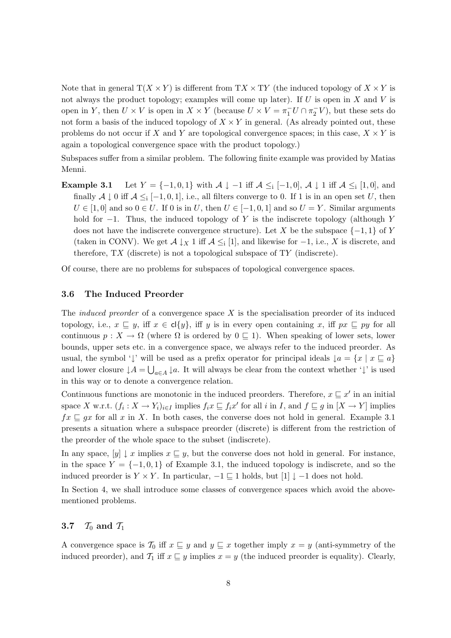Note that in general  $T(X \times Y)$  is different from  $TX \times TY$  (the induced topology of  $X \times Y$  is not always the product topology; examples will come up later). If  $U$  is open in  $X$  and  $V$  is open in Y, then  $U \times V$  is open in  $X \times Y$  (because  $U \times V = \pi_1^- U \cap \pi_2^- V$ ), but these sets do not form a basis of the induced topology of  $X \times Y$  in general. (As already pointed out, these problems do not occur if X and Y are topological convergence spaces; in this case,  $X \times Y$  is again a topological convergence space with the product topology.)

Subspaces suffer from a similar problem. The following finite example was provided by Matias Menni.

**Example 3.1** Let  $Y = \{-1, 0, 1\}$  with  $\mathcal{A} \downarrow -1$  iff  $\mathcal{A} \leq_i [-1, 0], \mathcal{A} \downarrow 1$  iff  $\mathcal{A} \leq_i [1, 0],$  and finally  $\mathcal{A} \downarrow 0$  iff  $\mathcal{A} \leq_i [-1, 0, 1]$ , i.e., all filters converge to 0. If 1 is in an open set U, then  $U \in [1,0]$  and so  $0 \in U$ . If 0 is in U, then  $U \in [-1,0,1]$  and so  $U = Y$ . Similar arguments hold for  $-1$ . Thus, the induced topology of Y is the indiscrete topology (although Y does not have the indiscrete convergence structure). Let X be the subspace  $\{-1,1\}$  of Y (taken in CONV). We get  $\mathcal{A} \downarrow_X 1$  iff  $\mathcal{A} \leq_i [1]$ , and likewise for  $-1$ , i.e., X is discrete, and therefore,  $TX$  (discrete) is not a topological subspace of  $TY$  (indiscrete).

Of course, there are no problems for subspaces of topological convergence spaces.

### 3.6 The Induced Preorder

The *induced preorder* of a convergence space X is the specialisation preorder of its induced topology, i.e.,  $x \subseteq y$ , iff  $x \in cl\{y\}$ , iff y is in every open containing x, iff  $px \subseteq py$  for all continuous  $p: X \to \Omega$  (where  $\Omega$  is ordered by  $0 \subseteq 1$ ). When speaking of lower sets, lower bounds, upper sets etc. in a convergence space, we always refer to the induced preorder. As usual, the symbol ' $\downarrow$ ' will be used as a prefix operator for principal ideals  $\downarrow a = \{x \mid x \sqsubseteq a\}$ and lower closure  $\downarrow A = \bigcup_{a \in A} \downarrow a$ . It will always be clear from the context whether ' $\downarrow$ ' is used in this way or to denote a convergence relation.

Continuous functions are monotonic in the induced preorders. Therefore,  $x \subseteq x'$  in an initial space X w.r.t.  $(f_i: X \to Y_i)_{i \in I}$  implies  $f_i x \sqsubseteq f_i x'$  for all i in I, and  $f \sqsubseteq g$  in  $[X \to Y]$  implies  $fx \sqsubseteq gx$  for all x in X. In both cases, the converse does not hold in general. Example 3.1 presents a situation where a subspace preorder (discrete) is different from the restriction of the preorder of the whole space to the subset (indiscrete).

In any space,  $[y] \downarrow x$  implies  $x \sqsubseteq y$ , but the converse does not hold in general. For instance, in the space  $Y = \{-1, 0, 1\}$  of Example 3.1, the induced topology is indiscrete, and so the induced preorder is  $Y \times Y$ . In particular,  $-1 \subseteq 1$  holds, but  $[1] \downarrow -1$  does not hold.

In Section 4, we shall introduce some classes of convergence spaces which avoid the abovementioned problems.

### 3.7  $\mathcal{T}_0$  and  $\mathcal{T}_1$

A convergence space is  $\mathcal{T}_0$  iff  $x \subseteq y$  and  $y \subseteq x$  together imply  $x = y$  (anti-symmetry of the induced preorder), and  $\mathcal{T}_1$  iff  $x \subseteq y$  implies  $x = y$  (the induced preorder is equality). Clearly,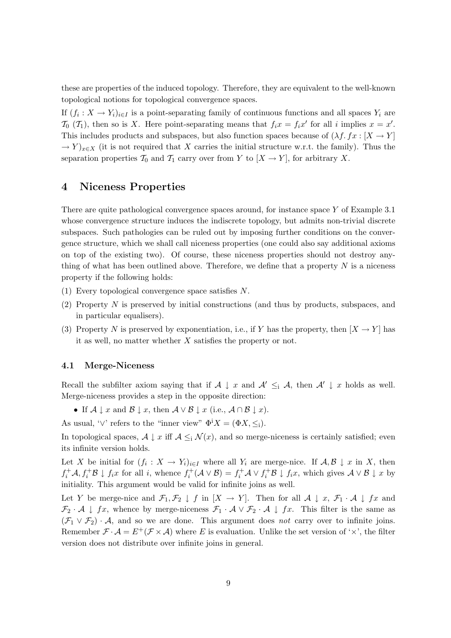these are properties of the induced topology. Therefore, they are equivalent to the well-known topological notions for topological convergence spaces.

If  $(f_i: X \to Y_i)_{i \in I}$  is a point-separating family of continuous functions and all spaces  $Y_i$  are  $\mathcal{T}_0(\mathcal{T}_1)$ , then so is X. Here point-separating means that  $f_ix = f_ix'$  for all i implies  $x = x'$ . This includes products and subspaces, but also function spaces because of  $(\lambda f. fx : [X \rightarrow Y])$  $\rightarrow Y_{x\in X}$  (it is not required that X carries the initial structure w.r.t. the family). Thus the separation properties  $\mathcal{T}_0$  and  $\mathcal{T}_1$  carry over from Y to  $[X \to Y]$ , for arbitrary X.

### 4 Niceness Properties

There are quite pathological convergence spaces around, for instance space Y of Example 3.1 whose convergence structure induces the indiscrete topology, but admits non-trivial discrete subspaces. Such pathologies can be ruled out by imposing further conditions on the convergence structure, which we shall call niceness properties (one could also say additional axioms on top of the existing two). Of course, these niceness properties should not destroy anything of what has been outlined above. Therefore, we define that a property  $N$  is a niceness property if the following holds:

- (1) Every topological convergence space satisfies N.
- (2) Property N is preserved by initial constructions (and thus by products, subspaces, and in particular equalisers).
- (3) Property N is preserved by exponentiation, i.e., if Y has the property, then  $[X \to Y]$  has it as well, no matter whether  $X$  satisfies the property or not.

#### 4.1 Merge-Niceness

Recall the subfilter axiom saying that if  $A \downarrow x$  and  $A' \leq_i A$ , then  $A' \downarrow x$  holds as well. Merge-niceness provides a step in the opposite direction:

- If  $A \downarrow x$  and  $B \downarrow x$ , then  $A \vee B \downarrow x$  (i.e.,  $A \cap B \downarrow x$ ).
- As usual, ' $\vee$ ' refers to the "inner view"  $\Phi^i X = (\Phi X, \leq)$ .

In topological spaces,  $A \downarrow x$  iff  $A \leq_i N(x)$ , and so merge-niceness is certainly satisfied; even its infinite version holds.

Let X be initial for  $(f_i: X \to Y_i)_{i \in I}$  where all  $Y_i$  are merge-nice. If  $\mathcal{A}, \mathcal{B} \downarrow x$  in X, then  $f_i^+ A, f_i^+ B \downarrow f_i x$  for all i, whence  $f_i^+ (A \vee B) = f_i^+ A \vee f_i^+ B \downarrow f_i x$ , which gives  $A \vee B \downarrow x$  by initiality. This argument would be valid for infinite joins as well.

Let Y be merge-nice and  $\mathcal{F}_1, \mathcal{F}_2 \downarrow f$  in  $[X \to Y]$ . Then for all  $\mathcal{A} \downarrow x, \mathcal{F}_1 \cdot \mathcal{A} \downarrow fx$  and  $\mathcal{F}_2$  · A  $\downarrow$  fx, whence by merge-niceness  $\mathcal{F}_1 \cdot A \vee \mathcal{F}_2 \cdot A \downarrow fx$ . This filter is the same as  $(\mathcal{F}_1 \vee \mathcal{F}_2) \cdot \mathcal{A}$ , and so we are done. This argument does not carry over to infinite joins. Remember  $\mathcal{F} \cdot \mathcal{A} = E^+(\mathcal{F} \times \mathcal{A})$  where E is evaluation. Unlike the set version of ' $\times$ ', the filter version does not distribute over infinite joins in general.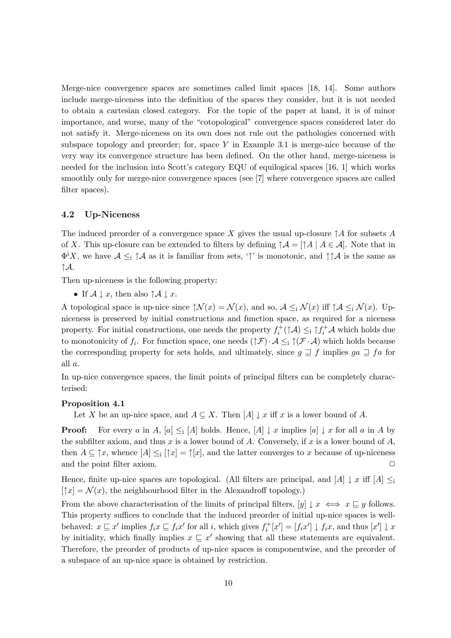Merge-nice convergence spaces are sometimes called limit spaces [18, 14]. Some authors include merge-niceness into the definition of the spaces they consider, but it is not needed to obtain a cartesian closed category. For the topic of the paper at hand, it is of minor importance, and worse, many of the "cotopological" convergence spaces considered later do not satisfy it. Merge-niceness on its own does not rule out the pathologies concerned with subspace topology and preorder; for, space  $Y$  in Example 3.1 is merge-nice because of the very way its convergence structure has been defined. On the other hand, merge-niceness is needed for the inclusion into Scott's category EQU of equilogical spaces [16, 1] which works smoothly only for merge-nice convergence spaces (see [7] where convergence spaces are called filter spaces).

### 4.2 Up-Niceness

The induced preorder of a convergence space X gives the usual up-closure  $\uparrow A$  for subsets A of X. This up-closure can be extended to filters by defining  $\uparrow A = [\uparrow A \mid A \in \mathcal{A}]$ . Note that in  $\Phi^i X$ , we have  $\mathcal{A} \leq_i \uparrow \mathcal{A}$  as it is familiar from sets, ' $\uparrow$ ' is monotonic, and  $\uparrow \uparrow \mathcal{A}$  is the same as  $\uparrow$ A.

Then up-niceness is the following property:

• If  $A \downarrow x$ , then also  $\uparrow A \downarrow x$ .

A topological space is up-nice since  $\mathcal{N}(x) = \mathcal{N}(x)$ , and so,  $\mathcal{A} \leq_i \mathcal{N}(x)$  iff  $\mathcal{A} \leq_i \mathcal{N}(x)$ . Upniceness is preserved by initial constructions and function space, as required for a niceness property. For initial constructions, one needs the property  $f_i^+(\uparrow \mathcal{A}) \leq_i \uparrow f_i^+\mathcal{A}$  which holds due to monotonicity of  $f_i$ . For function space, one needs  $(\uparrow \mathcal{F}) \cdot \mathcal{A} \leq_i \uparrow (\mathcal{F} \cdot \mathcal{A})$  which holds because the corresponding property for sets holds, and ultimately, since  $q \supseteq f$  implies  $qa \supseteq fa$  for all a.

In up-nice convergence spaces, the limit points of principal filters can be completely characterised:

#### Proposition 4.1

Let X be an up-nice space, and  $A \subseteq X$ . Then  $[A] \downarrow x$  iff x is a lower bound of A.

**Proof:** For every a in A,  $[a] \leq [A]$  holds. Hence,  $[A] \downarrow x$  implies  $[a] \downarrow x$  for all a in A by the subfilter axiom, and thus x is a lower bound of A. Conversely, if x is a lower bound of  $A$ , then  $A \subseteq \uparrow x$ , whence  $[A] \leq_i [\uparrow x] = \uparrow [x]$ , and the latter converges to x because of up-niceness and the point filter axiom.  $\Box$ 

Hence, finite up-nice spaces are topological. (All filters are principal, and  $[A] \downarrow x$  iff  $[A] \leq i$  $[\uparrow x] = \mathcal{N}(x)$ , the neighbourhood filter in the Alexandroff topology.)

From the above characterisation of the limits of principal filters,  $[y] \downarrow x \iff x \sqsubseteq y$  follows. This property suffices to conclude that the induced preorder of initial up-nice spaces is wellbehaved:  $x \sqsubseteq x'$  implies  $f_i x \sqsubseteq f_i x'$  for all i, which gives  $f_i^+[x'] = [f_i x'] \downarrow f_i x$ , and thus  $[x'] \downarrow x$ by initiality, which finally implies  $x \subseteq x'$  showing that all these statements are equivalent. Therefore, the preorder of products of up-nice spaces is componentwise, and the preorder of a subspace of an up-nice space is obtained by restriction.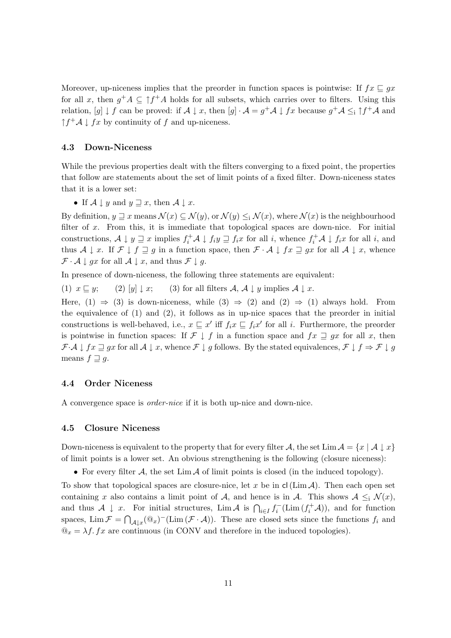Moreover, up-niceness implies that the preorder in function spaces is pointwise: If  $fx \sqsubseteq qx$ for all x, then  $g^+A \subseteq \uparrow f^+A$  holds for all subsets, which carries over to filters. Using this relation,  $[g] \downarrow f$  can be proved: if  $\mathcal{A} \downarrow x$ , then  $[g] \cdot \mathcal{A} = g^+ \mathcal{A} \downarrow fx$  because  $g^+ \mathcal{A} \leq_i \uparrow f^+ \mathcal{A}$  and  $\uparrow f^+ A \downarrow fx$  by continuity of f and up-niceness.

### 4.3 Down-Niceness

While the previous properties dealt with the filters converging to a fixed point, the properties that follow are statements about the set of limit points of a fixed filter. Down-niceness states that it is a lower set:

• If  $A \downarrow y$  and  $y \sqsupseteq x$ , then  $A \downarrow x$ .

By definition,  $y \sqsupseteq x$  means  $\mathcal{N}(x) \subseteq \mathcal{N}(y)$ , or  $\mathcal{N}(y) \leq i \mathcal{N}(x)$ , where  $\mathcal{N}(x)$  is the neighbourhood filter of  $x$ . From this, it is immediate that topological spaces are down-nice. For initial constructions,  $A \downarrow y \sqsupseteq x$  implies  $f_i^+ A \downarrow f_i y \sqsupseteq f_i x$  for all i, whence  $f_i^+ A \downarrow f_i x$  for all i, and thus  $A \downarrow x$ . If  $\mathcal{F} \downarrow f \sqsupseteq g$  in a function space, then  $\mathcal{F} \cdot A \downarrow fx \sqsupseteq gx$  for all  $A \downarrow x$ , whence  $\mathcal{F} \cdot \mathcal{A} \downarrow gx$  for all  $\mathcal{A} \downarrow x$ , and thus  $\mathcal{F} \downarrow g$ .

In presence of down-niceness, the following three statements are equivalent:

(1)  $x \sqsubseteq y$ ; (2)  $[y] \downarrow x$ ; (3) for all filters A, A  $\downarrow y$  implies A  $\downarrow x$ .

Here,  $(1) \Rightarrow (3)$  is down-niceness, while  $(3) \Rightarrow (2)$  and  $(2) \Rightarrow (1)$  always hold. From the equivalence of (1) and (2), it follows as in up-nice spaces that the preorder in initial constructions is well-behaved, i.e.,  $x \subseteq x'$  iff  $f_ix \subseteq f_ix'$  for all i. Furthermore, the preorder is pointwise in function spaces: If  $\mathcal{F} \downarrow f$  in a function space and  $fx \sqsupseteq gx$  for all x, then  $\mathcal{F}\cdot\mathcal{A}\downarrow fx\sqsupseteq gx$  for all  $\mathcal{A}\downarrow x$ , whence  $\mathcal{F}\downarrow g$  follows. By the stated equivalences,  $\mathcal{F}\downarrow f\Rightarrow \mathcal{F}\downarrow g$ means  $f \supseteq g$ .

#### 4.4 Order Niceness

A convergence space is order-nice if it is both up-nice and down-nice.

#### 4.5 Closure Niceness

Down-niceness is equivalent to the property that for every filter A, the set Lim  $A = \{x \mid A \downarrow x\}$ of limit points is a lower set. An obvious strengthening is the following (closure niceness):

• For every filter A, the set  $\lim_{\Delta} A$  of limit points is closed (in the induced topology).

To show that topological spaces are closure-nice, let x be in  $cl(Lim A)$ . Then each open set containing x also contains a limit point of A, and hence is in A. This shows  $A \leq_i N(x)$ , and thus  $\mathcal{A} \downarrow x$ . For initial structures, Lim  $\mathcal{A}$  is  $\bigcap_{i\in I} f_i^-(\text{Lim}(f_i^+\mathcal{A}))$ , and for function spaces,  $\lim \mathcal{F} = \bigcap_{\mathcal{A} \downarrow x} (\mathbb{Q}_x)^-(\lim (\mathcal{F} \cdot \mathcal{A}))$ . These are closed sets since the functions  $f_i$  and  $\mathbb{Q}_x = \lambda f$ . fx are continuous (in CONV and therefore in the induced topologies).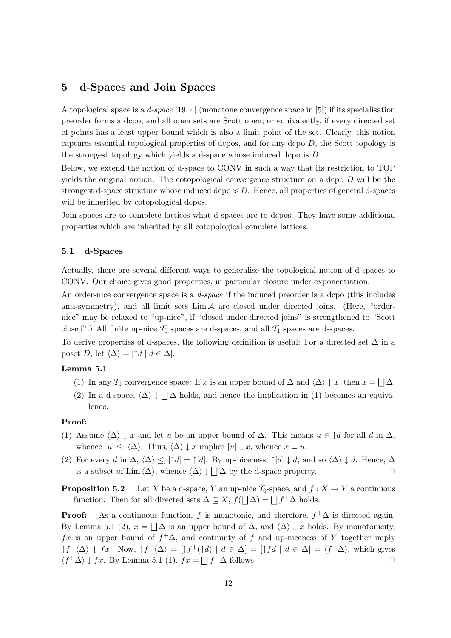### 5 d-Spaces and Join Spaces

A topological space is a d-space [19, 4] (monotone convergence space in [5]) if its specialisation preorder forms a dcpo, and all open sets are Scott open; or equivalently, if every directed set of points has a least upper bound which is also a limit point of the set. Clearly, this notion captures essential topological properties of dcpos, and for any dcpo  $D$ , the Scott topology is the strongest topology which yields a d-space whose induced dcpo is D.

Below, we extend the notion of d-space to CONV in such a way that its restriction to TOP yields the original notion. The cotopological convergence structure on a dcpo  $D$  will be the strongest d-space structure whose induced dcpo is  $D$ . Hence, all properties of general d-spaces will be inherited by cotopological dcpos.

Join spaces are to complete lattices what d-spaces are to dcpos. They have some additional properties which are inherited by all cotopological complete lattices.

#### 5.1 d-Spaces

Actually, there are several different ways to generalise the topological notion of d-spaces to CONV. Our choice gives good properties, in particular closure under exponentiation.

An order-nice convergence space is a *d-space* if the induced preorder is a dcpo (this includes anti-symmetry), and all limit sets  $\lim_{\Delta} A$  are closed under directed joins. (Here, "ordernice" may be relaxed to "up-nice", if "closed under directed joins" is strengthened to "Scott closed".) All finite up-nice  $\mathcal{T}_0$  spaces are d-spaces, and all  $\mathcal{T}_1$  spaces are d-spaces.

To derive properties of d-spaces, the following definition is useful: For a directed set  $\Delta$  in a poset D, let  $\langle \Delta \rangle = [\uparrow d \mid d \in \Delta].$ 

#### Lemma 5.1

- (1) In any  $\mathcal{T}_0$  convergence space: If x is an upper bound of  $\Delta$  and  $\langle \Delta \rangle \downarrow x$ , then  $x = \bigsqcup \Delta$ .
- (2) In a d-space,  $\langle \Delta \rangle \downarrow \bigsqcup \Delta$  holds, and hence the implication in (1) becomes an equivalence.

#### Proof:

- (1) Assume  $\langle \Delta \rangle \downarrow x$  and let u be an upper bound of  $\Delta$ . This means  $u \in \uparrow d$  for all d in  $\Delta$ , whence  $[u] \leq_i \langle \Delta \rangle$ . Thus,  $\langle \Delta \rangle \downarrow x$  implies  $[u] \downarrow x$ , whence  $x \sqsubseteq u$ .
- (2) For every d in  $\Delta$ ,  $\langle \Delta \rangle \leq$ i  $[\uparrow d] = \uparrow [d]$ . By up-niceness,  $\uparrow [d] \downarrow d$ , and so  $\langle \Delta \rangle \downarrow d$ . Hence,  $\Delta$ is a subset of Lim  $\langle \Delta \rangle$ , whence  $\langle \Delta \rangle \downarrow | \Delta$  by the d-space property.

**Proposition 5.2** Let X be a d-space, Y an up-nice  $\mathcal{T}_0$ -space, and  $f : X \to Y$  a continuous function. Then for all directed sets  $\Delta \subseteq X$ ,  $f(| \Delta) = | f^+ \Delta$  holds.

**Proof:** As a continuous function, f is monotonic, and therefore,  $f^+\Delta$  is directed again. By Lemma 5.1 (2),  $x = \Box \Delta$  is an upper bound of  $\Delta$ , and  $\langle \Delta \rangle \downarrow x$  holds. By monotonicity,  $fx$  is an upper bound of  $f^+\Delta$ , and continuity of f and up-niceness of Y together imply  $\uparrow f^+ \langle \Delta \rangle$   $\downarrow$  fx. Now,  $\uparrow f^+ \langle \Delta \rangle = [\uparrow f^+ (\uparrow d) \mid d \in \Delta] = [\uparrow f d \mid d \in \Delta] = \langle f^+ \Delta \rangle$ , which gives  $\langle f^+ \Delta \rangle$   $\downarrow$   $fx$ . By Lemma 5.1 (1),  $fx = | f^+ \Delta$  follows.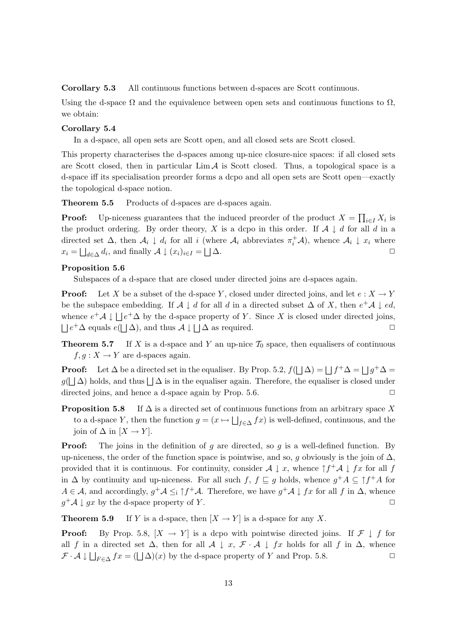Corollary 5.3 All continuous functions between d-spaces are Scott continuous.

Using the d-space  $\Omega$  and the equivalence between open sets and continuous functions to  $\Omega$ , we obtain:

#### Corollary 5.4

In a d-space, all open sets are Scott open, and all closed sets are Scott closed.

This property characterises the d-spaces among up-nice closure-nice spaces: if all closed sets are Scott closed, then in particular  $\lim_{\Delta} A$  is Scott closed. Thus, a topological space is a d-space iff its specialisation preorder forms a dcpo and all open sets are Scott open—exactly the topological d-space notion.

Theorem 5.5 Products of d-spaces are d-spaces again.

**Proof:** Up-niceness guarantees that the induced preorder of the product  $X = \prod_{i \in I} X_i$  is the product ordering. By order theory, X is a dcpo in this order. If  $A \downarrow d$  for all d in a directed set  $\Delta$ , then  $\mathcal{A}_i \downarrow d_i$  for all i (where  $\mathcal{A}_i$  abbreviates  $\pi_i^+\mathcal{A}$ ), whence  $\mathcal{A}_i \downarrow x_i$  where  $x_i = \bigsqcup_{d \in \Delta} d_i$ , and finally  $\mathcal{A} \downarrow (x_i)_{i \in I} = \bigsqcup$  $\Delta$ .

#### Proposition 5.6

Subspaces of a d-space that are closed under directed joins are d-spaces again.

**Proof:** Let X be a subset of the d-space Y, closed under directed joins, and let  $e: X \to Y$ be the subspace embedding. If  $\mathcal{A} \downarrow d$  for all d in a directed subset  $\Delta$  of X, then  $e^+\mathcal{A} \downarrow ed$ , whence  $e^+\mathcal{A} \downarrow \bigsqcup e^+\Delta$  by the d-space property of Y. Since X is closed under directed joins,  $\Box e^+ \Delta$  equals  $e(\Box \Delta)$ , and thus  $\mathcal{A} \downarrow \Box \Delta$  as required.  $\Box$ 

**Theorem 5.7** If X is a d-space and Y an up-nice  $\mathcal{T}_0$  space, then equalisers of continuous  $f, g: X \to Y$  are d-spaces again.

**Proof:** Let  $\Delta$  be a directed set in the equaliser. By Prop. 5.2,  $f(\Delta) = \Box f^+ \Delta = \Box g^+ \Delta =$  $g(\mid \Delta)$  holds, and thus  $\mid \Delta$  is in the equaliser again. Therefore, the equaliser is closed under directed joins, and hence a d-space again by Prop.  $5.6$ .  $\Box$ 

**Proposition 5.8** If  $\Delta$  is a directed set of continuous functions from an arbitrary space X to a d-space Y, then the function  $g = (x \mapsto \bigsqcup_{f \in \Delta} fx)$  is well-defined, continuous, and the join of  $\Delta$  in  $[X \to Y]$ .

**Proof:** The joins in the definition of g are directed, so g is a well-defined function. By up-niceness, the order of the function space is pointwise, and so, g obviously is the join of  $\Delta$ , provided that it is continuous. For continuity, consider  $A \downarrow x$ , whence  $\uparrow f^+ A \downarrow fx$  for all f in  $\Delta$  by continuity and up-niceness. For all such  $f, f \sqsubseteq g$  holds, whence  $g^+A \subseteq \uparrow f^+A$  for  $A \in \mathcal{A}$ , and accordingly,  $g^+ \mathcal{A} \leq_i \uparrow f^+ \mathcal{A}$ . Therefore, we have  $g^+ \mathcal{A} \downarrow fx$  for all f in  $\Delta$ , whence  $g^+\mathcal{A} \downarrow gx$  by the d-space property of Y.

**Theorem 5.9** If Y is a d-space, then  $[X \rightarrow Y]$  is a d-space for any X.

**Proof:** By Prop. 5.8,  $[X \to Y]$  is a dcpo with pointwise directed joins. If  $\mathcal{F} \downarrow f$  for all f in a directed set  $\Delta$ , then for all  $\mathcal{A} \downarrow x$ ,  $\mathcal{F} \cdot \mathcal{A} \downarrow fx$  holds for all f in  $\Delta$ , whence  $\mathcal{F} \cdot \mathcal{A} \downarrow \bigsqcup_{F \in \Delta} fx = (\bigsqcup \Delta)(x)$  by the d-space property of Y and Prop. 5.8.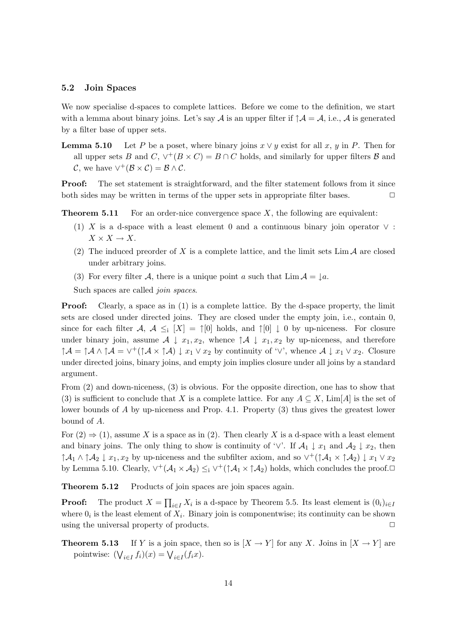#### 5.2 Join Spaces

We now specialise d-spaces to complete lattices. Before we come to the definition, we start with a lemma about binary joins. Let's say A is an upper filter if  $\uparrow \mathcal{A} = \mathcal{A}$ , i.e., A is generated by a filter base of upper sets.

**Lemma 5.10** Let P be a poset, where binary joins  $x \vee y$  exist for all x, y in P. Then for all upper sets B and C,  $\vee^+(B \times C) = B \cap C$  holds, and similarly for upper filters B and C, we have  $\vee^+(\mathcal{B}\times\mathcal{C})=\mathcal{B}\wedge\mathcal{C}$ .

**Proof:** The set statement is straightforward, and the filter statement follows from it since both sides may be written in terms of the upper sets in appropriate filter bases.  $\Box$ 

**Theorem 5.11** For an order-nice convergence space  $X$ , the following are equivalent:

- (1) X is a d-space with a least element 0 and a continuous binary join operator  $\vee$ :  $X \times X \to X$ .
- (2) The induced preorder of X is a complete lattice, and the limit sets  $\lim_{\Delta} A$  are closed under arbitrary joins.
- (3) For every filter A, there is a unique point a such that  $\lim_{\Delta \to 0} A = \iota_a$ .

Such spaces are called *join spaces*.

**Proof:** Clearly, a space as in (1) is a complete lattice. By the d-space property, the limit sets are closed under directed joins. They are closed under the empty join, i.e., contain 0, since for each filter  $\mathcal{A}, \mathcal{A} \leq_i [X] = \uparrow [0]$  holds, and  $\uparrow [0] \downarrow 0$  by up-niceness. For closure under binary join, assume  $A \downarrow x_1, x_2$ , whence  $\uparrow A \downarrow x_1, x_2$  by up-niceness, and therefore  $\uparrow A = \uparrow A \land \uparrow A = \vee^+(\uparrow A \times \uparrow A) \downarrow x_1 \vee x_2$  by continuity of  $\vee$ , whence  $A \downarrow x_1 \vee x_2$ . Closure under directed joins, binary joins, and empty join implies closure under all joins by a standard argument.

From (2) and down-niceness, (3) is obvious. For the opposite direction, one has to show that (3) is sufficient to conclude that X is a complete lattice. For any  $A \subseteq X$ , Lim[A] is the set of lower bounds of A by up-niceness and Prop. 4.1. Property (3) thus gives the greatest lower bound of A.

For  $(2) \Rightarrow (1)$ , assume X is a space as in  $(2)$ . Then clearly X is a d-space with a least element and binary joins. The only thing to show is continuity of ' $\vee$ '. If  $\mathcal{A}_1 \downarrow x_1$  and  $\mathcal{A}_2 \downarrow x_2$ , then  $\uparrow A_1 \wedge \uparrow A_2 \downarrow x_1, x_2$  by up-niceness and the subfilter axiom, and so  $\vee^+(\uparrow A_1 \times \uparrow A_2) \downarrow x_1 \vee x_2$ by Lemma 5.10. Clearly,  $\vee^+(\mathcal{A}_1 \times \mathcal{A}_2) \leq_i \vee^+(\uparrow \mathcal{A}_1 \times \uparrow \mathcal{A}_2)$  holds, which concludes the proof.

Theorem 5.12 Products of join spaces are join spaces again.

**Proof:** The product  $X = \prod_{i \in I} X_i$  is a d-space by Theorem 5.5. Its least element is  $(0_i)_{i \in I}$ where  $0_i$  is the least element of  $X_i$ . Binary join is componentwise; its continuity can be shown using the universal property of products.  $\Box$ 

**Theorem 5.13** If Y is a join space, then so is  $[X \rightarrow Y]$  for any X. Joins in  $[X \rightarrow Y]$  are pointwise:  $(\bigvee_{i \in I} f_i)(x) = \bigvee_{i \in I} (f_i x)$ .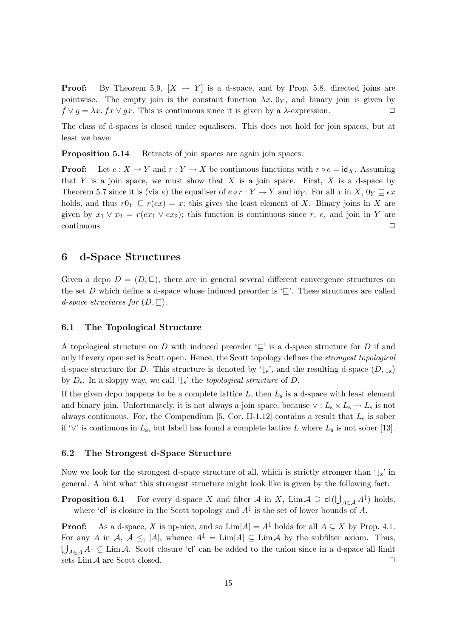**Proof:** By Theorem 5.9,  $[X \rightarrow Y]$  is a d-space, and by Prop. 5.8, directed joins are pointwise. The empty join is the constant function  $\lambda x$ . O<sub>Y</sub>, and binary join is given by  $f \vee g = \lambda x$ .  $f x \vee g x$ . This is continuous since it is given by a  $\lambda$ -expression.

The class of d-spaces is closed under equalisers. This does not hold for join spaces, but at least we have:

Proposition 5.14 Retracts of join spaces are again join spaces.

**Proof:** Let  $e: X \to Y$  and  $r: Y \to X$  be continuous functions with  $r \circ e = id_X$ . Assuming that Y is a join space, we must show that X is a join space. First, X is a d-space by Theorem 5.7 since it is (via e) the equaliser of  $e \circ r : Y \to Y$  and  $\mathsf{id}_Y$ . For all x in X,  $0_Y \sqsubseteq ex$ holds, and thus  $r0_Y \sqsubseteq r(ex) = x$ ; this gives the least element of X. Binary joins in X are given by  $x_1 \vee x_2 = r(ex_1 \vee ex_2);$  this function is continuous since r, e, and join in Y are  $\Box$ continuous.  $\Box$ 

### 6 d-Space Structures

Given a dcpo  $D = (D, \subseteq),$  there are in general several different convergence structures on the set D which define a d-space whose induced preorder is  $\subseteq$ . These structures are called d-space structures for  $(D, \subseteq)$ .

#### 6.1 The Topological Structure

A topological structure on D with induced preorder  $\subseteq$  is a d-space structure for D if and only if every open set is Scott open. Hence, the Scott topology defines the strongest topological d-space structure for D. This structure is denoted by ' $\downarrow$ s', and the resulting d-space  $(D, \downarrow_s)$ by  $D_s$ . In a sloppy way, we call ' $\downarrow_s$ ' the *topological structure* of D.

If the given dcpo happens to be a complete lattice  $L$ , then  $L<sub>s</sub>$  is a d-space with least element and binary join. Unfortunately, it is not always a join space, because  $\vee : L_{s} \times L_{s} \to L_{s}$  is not always continuous. For, the Compendium  $[5, \text{Cor. II-1.12}]$  contains a result that  $L_s$  is sober if ' $\vee$ ' is continuous in  $L_s$ , but Isbell has found a complete lattice L where  $L_s$  is not sober [13].

#### 6.2 The Strongest d-Space Structure

Now we look for the strongest d-space structure of all, which is strictly stronger than  $\downarrow$ <sub>s</sub>' in general. A hint what this strongest structure might look like is given by the following fact:

**Proposition 6.1** For every d-space X and filter A in X, Lim  $A \supseteq cl(\bigcup_{A \in A} A^{\downarrow})$  holds, where 'cl' is closure in the Scott topology and  $A^{\downarrow}$  is the set of lower bounds of A.

**Proof:** As a d-space, X is up-nice, and so  $\text{Lim}[A] = A^{\downarrow}$  holds for all  $A \subseteq X$  by Prop. 4.1. For any A in A,  $A \leq_i [A]$ , whence  $A^{\downarrow} = \text{Lim}[A] \subseteq \text{Lim }A$  by the subfilter axiom. Thus,  $\bigcup_{A\in\mathcal{A}}A^{\downarrow} \subseteq \text{Lim }\mathcal{A}$ . Scott closure 'cl' can be added to the union since in a d-space all limit sets Lim  $A$  are Scott closed.  $\Box$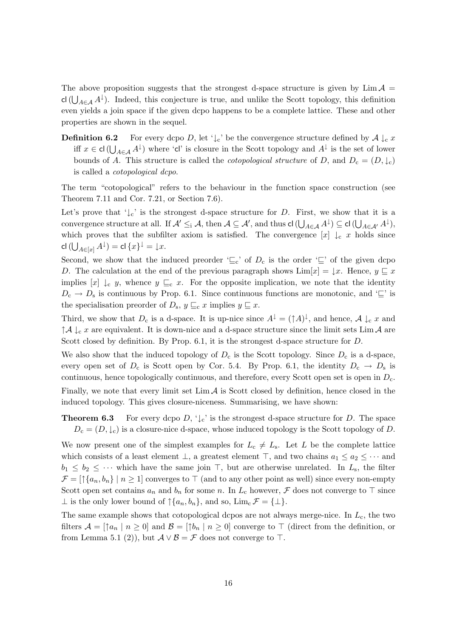The above proposition suggests that the strongest d-space structure is given by  $\lim_{\Delta} A =$ cl( $\bigcup_{A\in\mathcal{A}} A^{\downarrow}$ ). Indeed, this conjecture is true, and unlike the Scott topology, this definition even yields a join space if the given dcpo happens to be a complete lattice. These and other properties are shown in the sequel.

**Definition 6.2** For every dcpo D, let ' $\downarrow_c$ ' be the convergence structure defined by  $\mathcal{A} \downarrow_c x$ iff  $x \in \mathsf{cl}\left(\bigcup_{A\in\mathcal{A}} A^{\downarrow}\right)$  where 'cl' is closure in the Scott topology and  $A^{\downarrow}$  is the set of lower bounds of A. This structure is called the *cotopological structure* of D, and  $D_c = (D, \downarrow_c)$ is called a cotopological dcpo.

The term "cotopological" refers to the behaviour in the function space construction (see Theorem 7.11 and Cor. 7.21, or Section 7.6).

Let's prove that ' $\downarrow_c$ ' is the strongest d-space structure for D. First, we show that it is a convergence structure at all. If  $\mathcal{A}' \leq_{i} \mathcal{A}$ , then  $\mathcal{A} \subseteq \mathcal{A}'$ , and thus  $\mathsf{cl}\left(\bigcup_{A \in \mathcal{A}} A^{\downarrow}\right) \subseteq \mathsf{cl}\left(\bigcup_{A \in \mathcal{A}'} A^{\downarrow}\right)$ , which proves that the subfilter axiom is satisfied. The convergence  $[x] \downarrow_c x$  holds since  $\mathsf{cl}\,(\bigcup_{A \in [x]} A^\downarrow) = \mathsf{cl}\,\{x\}^\downarrow = \downarrow\!x.$ 

Second, we show that the induced preorder ' $\subseteq_c$ ' of  $D_c$  is the order ' $\subseteq$ ' of the given dcpo D. The calculation at the end of the previous paragraph shows  $\text{Lim}[x] = \downarrow x$ . Hence,  $y \sqsubseteq x$ implies  $[x] \downarrow_c y$ , whence  $y \sqsubseteq_c x$ . For the opposite implication, we note that the identity  $D_c \to D_s$  is continuous by Prop. 6.1. Since continuous functions are monotonic, and ' $\subseteq$ ' is the specialisation preorder of  $D_s$ ,  $y \sqsubseteq_c x$  implies  $y \sqsubseteq x$ .

Third, we show that  $D_c$  is a d-space. It is up-nice since  $A^{\downarrow} = (\uparrow A)^{\downarrow}$ , and hence,  $A \downarrow_c x$  and  $\uparrow A \downarrow_c x$  are equivalent. It is down-nice and a d-space structure since the limit sets Lim A are Scott closed by definition. By Prop. 6.1, it is the strongest d-space structure for D.

We also show that the induced topology of  $D_c$  is the Scott topology. Since  $D_c$  is a d-space, every open set of  $D_c$  is Scott open by Cor. 5.4. By Prop. 6.1, the identity  $D_c \rightarrow D_s$  is continuous, hence topologically continuous, and therefore, every Scott open set is open in  $D<sub>c</sub>$ . Finally, we note that every limit set  $\lim_{\Delta} A$  is Scott closed by definition, hence closed in the induced topology. This gives closure-niceness. Summarising, we have shown:

**Theorem 6.3** For every dcpo  $D$ ,  $\downarrow$ <sub>c</sub>' is the strongest d-space structure for D. The space  $D_c = (D, \downarrow_c)$  is a closure-nice d-space, whose induced topology is the Scott topology of D.

We now present one of the simplest examples for  $L_c \neq L_s$ . Let L be the complete lattice which consists of a least element  $\perp$ , a greatest element  $\top$ , and two chains  $a_1 \le a_2 \le \cdots$  and  $b_1 \leq b_2 \leq \cdots$  which have the same join  $\top$ , but are otherwise unrelated. In  $L_s$ , the filter  $\mathcal{F} = \left[ \uparrow \{a_n, b_n\} \mid n \geq 1 \right]$  converges to  $\top$  (and to any other point as well) since every non-empty Scott open set contains  $a_n$  and  $b_n$  for some n. In  $L_c$  however,  $\mathcal F$  does not converge to  $\top$  since  $\perp$  is the only lower bound of  $\uparrow \{a_n, b_n\}$ , and so,  $\lim_{\alpha \to \infty} \mathcal{F} = {\perp}.$ 

The same example shows that cotopological dcpos are not always merge-nice. In  $L_c$ , the two filters  $\mathcal{A} = [\uparrow a_n \mid n \geq 0]$  and  $\mathcal{B} = [\uparrow b_n \mid n \geq 0]$  converge to  $\top$  (direct from the definition, or from Lemma 5.1 (2)), but  $\mathcal{A} \vee \mathcal{B} = \mathcal{F}$  does not converge to  $\top$ .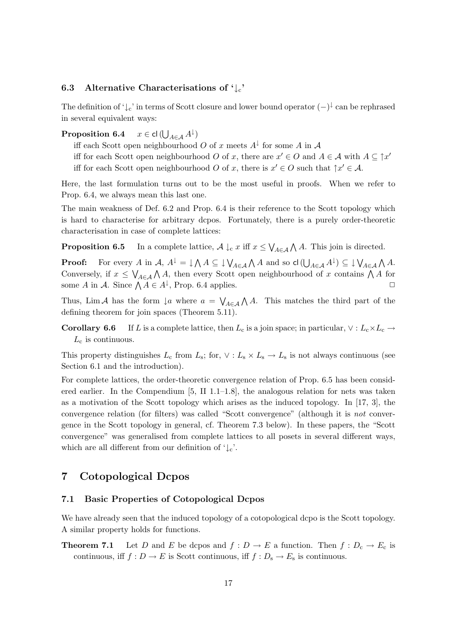### 6.3 Alternative Characterisations of  $\downarrow_c$

The definition of ' $\downarrow_c$ ' in terms of Scott closure and lower bound operator  $(-)^{\downarrow}$  can be rephrased in several equivalent ways:

#### Proposition 6.4  $\bigcup_{A \in \mathcal{A}} A^{\downarrow}$

- iff each Scott open neighbourhood O of x meets  $A^{\downarrow}$  for some A in A
- iff for each Scott open neighbourhood O of x, there are  $x' \in O$  and  $A \in \mathcal{A}$  with  $A \subseteq \uparrow x'$
- iff for each Scott open neighbourhood O of x, there is  $x' \in O$  such that  $\uparrow x' \in A$ .

Here, the last formulation turns out to be the most useful in proofs. When we refer to Prop. 6.4, we always mean this last one.

The main weakness of Def. 6.2 and Prop. 6.4 is their reference to the Scott topology which is hard to characterise for arbitrary dcpos. Fortunately, there is a purely order-theoretic characterisation in case of complete lattices:

**Proposition 6.5** In a complete lattice,  $\mathcal{A} \downarrow_c x$  iff  $x \leq \bigvee_{A \in \mathcal{A}} \bigwedge A$ . This join is directed.

**Proof:** For every A in  $A$ ,  $A^{\downarrow} = \downarrow \bigwedge A \subseteq \downarrow \bigvee_{A \in \mathcal{A}} \bigwedge A$  and so  $\mathsf{cl}(\bigcup_{A \in \mathcal{A}} A^{\downarrow}) \subseteq \downarrow \bigvee_{A \in \mathcal{A}} \bigwedge A$ . Conversely, if  $x \leq \bigvee_{A \in \mathcal{A}} \bigwedge A$ , then every Scott open neighbourhood of x contains  $\bigwedge A$  for some A in A. Since  $\bigwedge A \in A^{\downarrow}$ , Prop. 6.4 applies.

Thus, Lim A has the form  $\downarrow a$  where  $a = \bigvee_{A \in \mathcal{A}} \bigwedge A$ . This matches the third part of the defining theorem for join spaces (Theorem 5.11).

**Corollary 6.6** If L is a complete lattice, then  $L_c$  is a join space; in particular,  $\vee : L_c \times L_c \rightarrow$  $L_{\rm c}$  is continuous.

This property distinguishes  $L_c$  from  $L_s$ ; for,  $\vee$  :  $L_s \times L_s \rightarrow L_s$  is not always continuous (see Section 6.1 and the introduction).

For complete lattices, the order-theoretic convergence relation of Prop. 6.5 has been considered earlier. In the Compendium [5, II 1.1–1.8], the analogous relation for nets was taken as a motivation of the Scott topology which arises as the induced topology. In [17, 3], the convergence relation (for filters) was called "Scott convergence" (although it is not convergence in the Scott topology in general, cf. Theorem 7.3 below). In these papers, the "Scott convergence" was generalised from complete lattices to all posets in several different ways, which are all different from our definition of  $\downarrow$ <sub>c</sub>'.

### 7 Cotopological Dcpos

#### 7.1 Basic Properties of Cotopological Dcpos

We have already seen that the induced topology of a cotopological dcpo is the Scott topology. A similar property holds for functions.

**Theorem 7.1** Let D and E be dcpos and  $f: D \to E$  a function. Then  $f: D_c \to E_c$  is continuous, iff  $f : D \to E$  is Scott continuous, iff  $f : D_s \to E_s$  is continuous.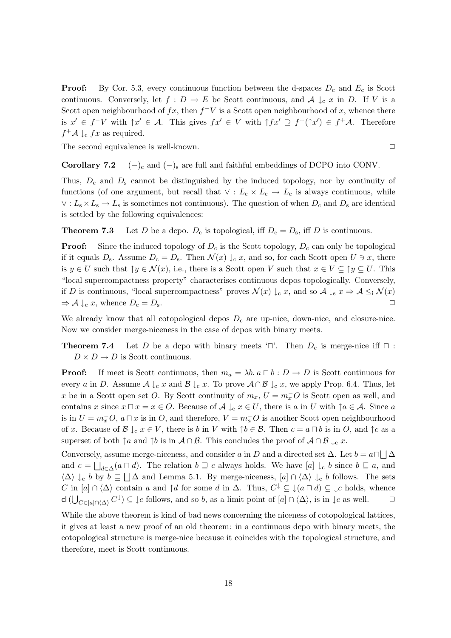**Proof:** By Cor. 5.3, every continuous function between the d-spaces  $D_c$  and  $E_c$  is Scott continuous. Conversely, let  $f: D \to E$  be Scott continuous, and  $\mathcal{A} \downarrow_c x$  in D. If V is a Scott open neighbourhood of  $fx$ , then  $f^-V$  is a Scott open neighbourhood of x, whence there is  $x' \in f^-V$  with  $\uparrow x' \in A$ . This gives  $fx' \in V$  with  $\uparrow fx' \supseteq f^+(\uparrow x') \in f^+A$ . Therefore  $f^+A \downarrow_c fx$  as required.

The second equivalence is well-known.  $\Box$ 

### **Corollary 7.2**  $(-)_c$  and  $(-)_s$  are full and faithful embeddings of DCPO into CONV.

Thus,  $D_c$  and  $D_s$  cannot be distinguished by the induced topology, nor by continuity of functions (of one argument, but recall that  $\vee : L_c \times L_c \to L_c$  is always continuous, while  $\vee: L_{s} \times L_{s} \to L_{s}$  is sometimes not continuous). The question of when  $D_{c}$  and  $D_{s}$  are identical is settled by the following equivalences:

**Theorem 7.3** Let D be a dcpo.  $D_c$  is topological, iff  $D_c = D_s$ , iff D is continuous.

**Proof:** Since the induced topology of  $D_c$  is the Scott topology,  $D_c$  can only be topological if it equals  $D_s$ . Assume  $D_c = D_s$ . Then  $\mathcal{N}(x) \downarrow_c x$ , and so, for each Scott open  $U \ni x$ , there is  $y \in U$  such that  $\uparrow y \in \mathcal{N}(x)$ , i.e., there is a Scott open V such that  $x \in V \subseteq \uparrow y \subseteq U$ . This "local supercompactness property" characterises continuous dcpos topologically. Conversely, if D is continuous, "local supercompactness" proves  $\mathcal{N}(x) \downarrow_c x$ , and so  $\mathcal{A} \downarrow_s x \Rightarrow \mathcal{A} \leq_i \mathcal{N}(x)$  $\Rightarrow$  A  $\downarrow_c$  x, whence  $D_c = D_s$ .

We already know that all cotopological dcpos  $D<sub>c</sub>$  are up-nice, down-nice, and closure-nice. Now we consider merge-niceness in the case of dcpos with binary meets.

**Theorem 7.4** Let D be a dcpo with binary meets ' $\Box$ '. Then  $D_c$  is merge-nice iff  $\Box$ :  $D \times D \to D$  is Scott continuous.

**Proof:** If meet is Scott continuous, then  $m_a = \lambda b$ .  $a \sqcap b : D \to D$  is Scott continuous for every a in D. Assume  $\mathcal{A} \downarrow_c x$  and  $\mathcal{B} \downarrow_c x$ . To prove  $\mathcal{A} \cap \mathcal{B} \downarrow_c x$ , we apply Prop. 6.4. Thus, let x be in a Scott open set O. By Scott continuity of  $m_x$ ,  $U = m_x^-O$  is Scott open as well, and contains x since  $x \sqcap x = x \in O$ . Because of  $\mathcal{A} \downarrow_{c} x \in U$ , there is a in U with  $\uparrow a \in \mathcal{A}$ . Since a is in  $U = m_x^- O$ ,  $a \sqcap x$  is in  $O$ , and therefore,  $V = m_a^- O$  is another Scott open neighbourhood of x. Because of  $\mathcal{B} \downarrow_c x \in V$ , there is b in V with  $\uparrow b \in \mathcal{B}$ . Then  $c = a \sqcap b$  is in O, and  $\uparrow c$  as a superset of both  $\uparrow a$  and  $\uparrow b$  is in  $\mathcal{A} \cap \mathcal{B}$ . This concludes the proof of  $\mathcal{A} \cap \mathcal{B} \downarrow_c x$ .

Conversely, assume merge-niceness, and consider a in D and a directed set  $\Delta$ . Let  $b = a \Box \Box \Delta$ and  $c = \bigsqcup_{d \in \Delta} (a \sqcap d)$ . The relation  $b \sqsupseteq c$  always holds. We have  $[a] \downarrow_c b$  since  $b \sqsubseteq a$ , and  $\langle \Delta \rangle \downarrow_c b$  by  $b \sqsubseteq \Box \Delta$  and Lemma 5.1. By merge-niceness,  $[a] \cap \langle \Delta \rangle \downarrow_c b$  follows. The sets C in  $[a] \cap \langle \Delta \rangle$  contain a and  $\uparrow d$  for some d in  $\Delta$ . Thus,  $C^{\downarrow} \subseteq \downarrow (a \sqcap d) \subseteq \downarrow c$  holds, whence cl  $(\bigcup_{C \in [a] \cap \langle \Delta \rangle} C^{\downarrow}) \subseteq \downarrow c$  follows, and so b, as a limit point of  $[a] \cap \langle \Delta \rangle$ , is in  $\downarrow c$  as well.  $\Box$ 

While the above theorem is kind of bad news concerning the niceness of cotopological lattices, it gives at least a new proof of an old theorem: in a continuous dcpo with binary meets, the cotopological structure is merge-nice because it coincides with the topological structure, and therefore, meet is Scott continuous.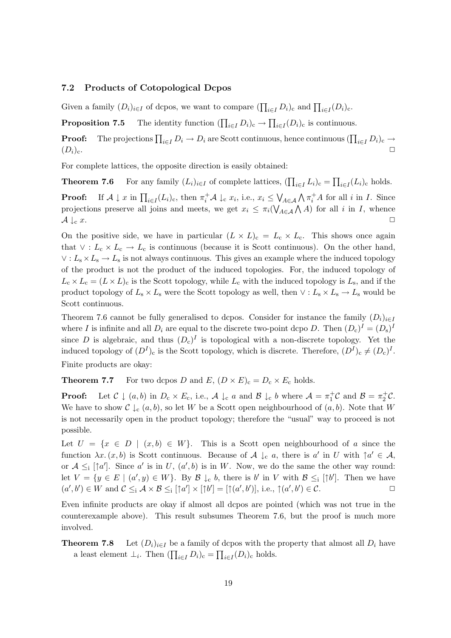### 7.2 Products of Cotopological Dcpos

Given a family  $(D_i)_{i \in I}$  of dcpos, we want to compare  $(\prod_{i \in I} D_i)_{c}$  and  $\prod_{i \in I} (D_i)_{c}$ .

**Proposition 7.5** The identity function  $(\prod_{i\in I} D_i)_c \to \prod_{i\in I} (D_i)_c$  is continuous.

**Proof:** The projections  $\prod_{i\in I} D_i \to D_i$  are Scott continuous, hence continuous  $(\prod_{i\in I} D_i)_c \to$  $(D_i)_{\rm c}$ .

For complete lattices, the opposite direction is easily obtained:

**Theorem 7.6** For any family  $(L_i)_{i \in I}$  of complete lattices,  $(\prod_{i \in I} L_i)_c = \prod_{i \in I} (L_i)_c$  holds.

**Proof:** If  $A \downarrow x$  in  $\prod_{i \in I} (L_i)_{c}$ , then  $\pi_i^+ A \downarrow_c x_i$ , i.e.,  $x_i \leq \bigvee_{A \in \mathcal{A}} \bigwedge \pi_i^+ A$  for all i in I. Since projections preserve all joins and meets, we get  $x_i \leq \pi_i(\bigvee_{A \in \mathcal{A}} \bigwedge A)$  for all i in I, whence  $\mathcal{A} \downarrow_{c} x.$ 

On the positive side, we have in particular  $(L \times L)_{c} = L_{c} \times L_{c}$ . This shows once again that  $\vee: L_c \times L_c \to L_c$  is continuous (because it is Scott continuous). On the other hand,  $\vee$  :  $L_s \times L_s \to L_s$  is not always continuous. This gives an example where the induced topology of the product is not the product of the induced topologies. For, the induced topology of  $L_c \times L_c = (L \times L)_c$  is the Scott topology, while  $L_c$  with the induced topology is  $L_s$ , and if the product topology of  $L_s \times L_s$  were the Scott topology as well, then  $\vee : L_s \times L_s \to L_s$  would be Scott continuous.

Theorem 7.6 cannot be fully generalised to dcpos. Consider for instance the family  $(D_i)_{i\in I}$ where I is infinite and all  $D_i$  are equal to the discrete two-point dcpo D. Then  $(D_c)^I = (D_s)^I$ since D is algebraic, and thus  $(D_c)^I$  is topological with a non-discrete topology. Yet the induced topology of  $(D^I)_c$  is the Scott topology, which is discrete. Therefore,  $(D^I)_c \neq (D_c)^I$ . Finite products are okay:

**Theorem 7.7** For two dcpos D and  $E$ ,  $(D \times E)_c = D_c \times E_c$  holds.

**Proof:** Let  $C \downarrow (a, b)$  in  $D_c \times E_c$ , i.e.,  $\mathcal{A} \downarrow_c a$  and  $\mathcal{B} \downarrow_c b$  where  $\mathcal{A} = \pi_1^+ C$  and  $\mathcal{B} = \pi_2^+ C$ . We have to show  $\mathcal{C} \downarrow_c (a, b)$ , so let W be a Scott open neighbourhood of  $(a, b)$ . Note that W is not necessarily open in the product topology; therefore the "usual" way to proceed is not possible.

Let  $U = \{x \in D \mid (x, b) \in W\}$ . This is a Scott open neighbourhood of a since the function  $\lambda x \cdot (x, b)$  is Scott continuous. Because of  $\mathcal{A} \downarrow_c a$ , there is  $a'$  in U with  $\uparrow a' \in \mathcal{A}$ , or  $A \leq_i [\uparrow a']$ . Since a' is in U,  $(a', b)$  is in W. Now, we do the same the other way round: let  $V = \{y \in E \mid (a', y) \in W\}$ . By  $\mathcal{B} \downarrow_c b$ , there is b' in V with  $\mathcal{B} \leq_i [\uparrow b']$ . Then we have  $(a', b') \in W$  and  $C \leq_i \mathcal{A} \times \mathcal{B} \leq_i [\uparrow a'] \times [\uparrow b'] = [\uparrow (a', b')],$  i.e.,  $\uparrow (a', b') \in C$ .

Even infinite products are okay if almost all dcpos are pointed (which was not true in the counterexample above). This result subsumes Theorem 7.6, but the proof is much more involved.

## **Theorem 7.8** Let  $(D_i)_{i\in I}$  be a family of dcpos with the property that almost all  $D_i$  have a least element  $\perp_i$ . Then  $(\prod_{i \in I} D_i)_c = \prod_{i \in I} (D_i)_c$  holds.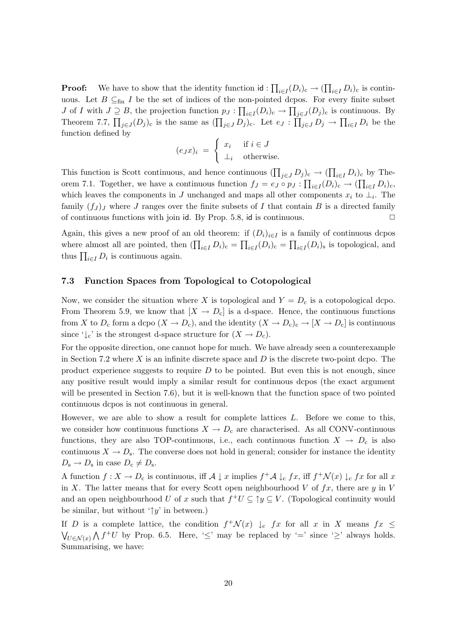**Proof:** We have to show that the identity function  $id : \prod_{i \in I} (D_i)_c \to (\prod_{i \in I} D_i)_c$  is continuous. Let  $B \subseteq_{fin} I$  be the set of indices of the non-pointed dcpos. For every finite subset J of I with  $J \supseteq B$ , the projection function  $p_J : \prod_{i \in I} (D_i)_c \to \prod_{j \in J} (D_j)_c$  is continuous. By Theorem 7.7,  $\prod_{j\in J}(D_j)_{c}$  is the same as  $(\prod_{j\in J} D_j)_{c}$ . Let  $e_J : \prod_{j\in J} D_j \to \prod_{i\in I} D_i$  be the function defined by

$$
(e_J x)_i = \begin{cases} x_i & \text{if } i \in J \\ \perp_i & \text{otherwise.} \end{cases}
$$

This function is Scott continuous, and hence continuous  $(\prod_{j\in J} D_j)_c \to (\prod_{i\in I} D_i)_c$  by Theorem 7.1. Together, we have a continuous function  $f_J = e_J \circ p_J : \prod_{i \in I} (D_i)_{c} \to (\prod_{i \in I} D_i)_{c}$ , which leaves the components in J unchanged and maps all other components  $x_i$  to  $\perp_i$ . The family  $(f_J)_J$  where J ranges over the finite subsets of I that contain B is a directed family of continuous functions with join id. By Prop. 5.8, id is continuous.  $\Box$ 

Again, this gives a new proof of an old theorem: if  $(D_i)_{i\in I}$  is a family of continuous depos where almost all are pointed, then  $(\prod_{i\in I} D_i)_c = \prod_{i\in I} (D_i)_c = \prod_{i\in I} (D_i)_s$  is topological, and thus  $\prod_{i\in I} D_i$  is continuous again.

#### 7.3 Function Spaces from Topological to Cotopological

Now, we consider the situation where X is topological and  $Y = D<sub>c</sub>$  is a cotopological dcpo. From Theorem 5.9, we know that  $[X \to D_c]$  is a d-space. Hence, the continuous functions from X to  $D_c$  form a dcpo  $(X \to D_c)$ , and the identity  $(X \to D_c)_c \to [X \to D_c]$  is continuous since ' $\downarrow_c$ ' is the strongest d-space structure for  $(X \to D_c)$ .

For the opposite direction, one cannot hope for much. We have already seen a counterexample in Section 7.2 where X is an infinite discrete space and  $D$  is the discrete two-point dcpo. The product experience suggests to require  $D$  to be pointed. But even this is not enough, since any positive result would imply a similar result for continuous dcpos (the exact argument will be presented in Section 7.6), but it is well-known that the function space of two pointed continuous dcpos is not continuous in general.

However, we are able to show a result for complete lattices  $L$ . Before we come to this, we consider how continuous functions  $X \to D_c$  are characterised. As all CONV-continuous functions, they are also TOP-continuous, i.e., each continuous function  $X \to D_c$  is also continuous  $X \to D_s$ . The converse does not hold in general; consider for instance the identity  $D_{\rm s} \to D_{\rm s}$  in case  $D_{\rm c} \neq D_{\rm s}$ .

A function  $f: X \to D_c$  is continuous, iff  $\mathcal{A} \downarrow x$  implies  $f^+ \mathcal{A} \downarrow_c fx$ , iff  $f^+ \mathcal{N}(x) \downarrow_c fx$  for all x in X. The latter means that for every Scott open neighbourhood V of  $fx$ , there are y in V and an open neighbourhood U of x such that  $f^+U \subseteq \uparrow y \subseteq V$ . (Topological continuity would be similar, but without ' $\uparrow y$ ' in between.)

If D is a complete lattice, the condition  $f^+\mathcal{N}(x) \downarrow_c fx$  for all x in X means  $fx \leq$  $\bigvee_{U \in \mathcal{N}(x)} \bigwedge f^+ U$  by Prop. 6.5. Here, ' $\leq'$  may be replaced by '=' since ' $\geq'$  always holds. Summarising, we have: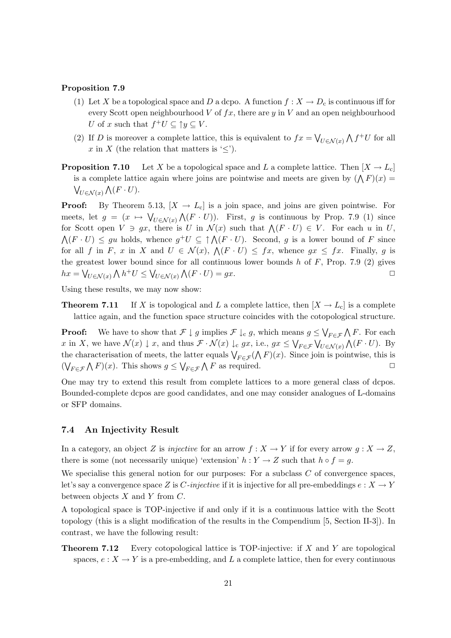#### Proposition 7.9

- (1) Let X be a topological space and D a dcpo. A function  $f: X \to D_c$  is continuous iff for every Scott open neighbourhood  $V$  of  $fx$ , there are  $y$  in  $V$  and an open neighbourhood U of x such that  $f^+U \subseteq \uparrow y \subseteq V$ .
- (2) If D is moreover a complete lattice, this is equivalent to  $fx = \bigvee_{U \in \mathcal{N}(x)} \bigwedge f^+U$  for all x in X (the relation that matters is  $\leq$ ).
- **Proposition 7.10** Let X be a topological space and L a complete lattice. Then  $[X \rightarrow L_c]$ is a complete lattice again where joins are pointwise and meets are given by  $(\bigwedge F)(x) =$  $\bigvee_{U \in \mathcal{N}(x)} \bigwedge (F \cdot U).$

**Proof:** By Theorem 5.13,  $[X \to L_c]$  is a join space, and joins are given pointwise. For meets, let  $g = (x \mapsto \bigvee_{U \in \mathcal{N}(x)} \bigwedge (F \cdot U)\big)$ . First, g is continuous by Prop. 7.9 (1) since for Scott open  $V \ni gx$ , there is U in  $\mathcal{N}(x)$  such that  $\bigwedge (F \cdot U) \in V$ . For each u in U,  $\bigwedge (F \cdot U) \leq gu$  holds, whence  $g^{\dagger}U \subseteq \uparrow \bigwedge (F \cdot U)$ . Second, g is a lower bound of F since for all f in F, x in X and  $U \in \mathcal{N}(x)$ ,  $\mathcal{N}(F \cdot U) \leq fx$ , whence  $gx \leq fx$ . Finally, g is the greatest lower bound since for all continuous lower bounds  $h$  of  $F$ , Prop. 7.9 (2) gives  $hx = \bigvee_{U \in \mathcal{N}(x)} \bigwedge h^+ U \leq \bigvee_{U \in \mathcal{N}(x)} \bigwedge (F \cdot U) = gx.$ 

Using these results, we may now show:

**Theorem 7.11** If X is topological and L a complete lattice, then  $[X \to L_c]$  is a complete lattice again, and the function space structure coincides with the cotopological structure.

**Proof:** We have to show that  $\mathcal{F} \downarrow g$  implies  $\mathcal{F} \downarrow_c g$ , which means  $g \leq \bigvee_{F \in \mathcal{F}} \bigwedge F$ . For each x in X, we have  $\mathcal{N}(x) \downarrow x$ , and thus  $\mathcal{F} \cdot \mathcal{N}(x) \downarrow_c gx$ , i.e.,  $gx \leq \bigvee_{F \in \mathcal{F}} \bigvee_{U \in \mathcal{N}(x)} \bigwedge (F \cdot U)$ . By the characterisation of meets, the latter equals  $\bigvee_{F \in \mathcal{F}} (\bigwedge F)(x)$ . Since join is pointwise, this is  $(\bigvee_{F \in \mathcal{F}} \bigwedge F)(x)$ . This shows  $g \leq \bigvee_{F \in \mathcal{F}} \bigwedge F$  as required.

One may try to extend this result from complete lattices to a more general class of dcpos. Bounded-complete dcpos are good candidates, and one may consider analogues of L-domains or SFP domains.

#### 7.4 An Injectivity Result

In a category, an object Z is *injective* for an arrow  $f : X \to Y$  if for every arrow  $g : X \to Z$ , there is some (not necessarily unique) 'extension'  $h: Y \to Z$  such that  $h \circ f = g$ .

We specialise this general notion for our purposes: For a subclass  $C$  of convergence spaces, let's say a convergence space Z is C-injective if it is injective for all pre-embeddings  $e: X \to Y$ between objects  $X$  and  $Y$  from  $C$ .

A topological space is TOP-injective if and only if it is a continuous lattice with the Scott topology (this is a slight modification of the results in the Compendium [5, Section II-3]). In contrast, we have the following result:

**Theorem 7.12** Every cotopological lattice is TOP-injective: if X and Y are topological spaces,  $e: X \to Y$  is a pre-embedding, and L a complete lattice, then for every continuous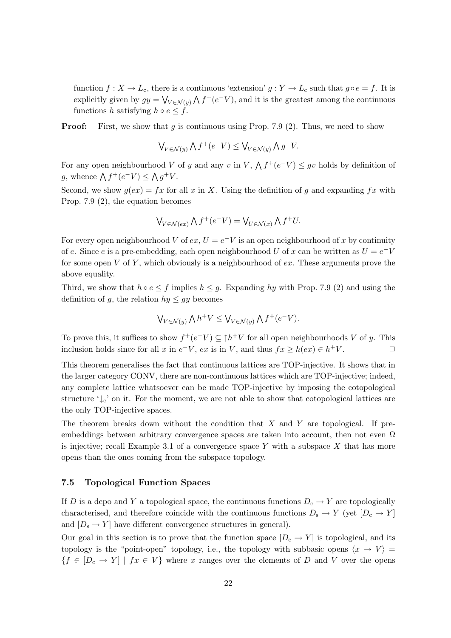function  $f: X \to L_c$ , there is a continuous 'extension'  $g: Y \to L_c$  such that  $g \circ e = f$ . It is explicitly given by  $gy = \bigvee_{V \in \mathcal{N}(y)} \bigwedge f^{+}(e^{-}V)$ , and it is the greatest among the continuous functions h satisfying  $h \circ e \leq f$ .

**Proof:** First, we show that  $g$  is continuous using Prop. 7.9 (2). Thus, we need to show

$$
\bigvee_{V \in \mathcal{N}(y)} \bigwedge f^+(e^-V) \le \bigvee_{V \in \mathcal{N}(y)} \bigwedge g^+V.
$$

For any open neighbourhood V of y and any v in V,  $\Lambda f^+(e^-V) \leq gv$  holds by definition of g, whence  $\bigwedge f^+(e^-V) \leq \bigwedge g^+V$ .

Second, we show  $q(ex) = fx$  for all x in X. Using the definition of q and expanding fx with Prop. 7.9 (2), the equation becomes

$$
\bigvee_{V \in \mathcal{N}(ex)} \bigwedge f^+(e^-V) = \bigvee_{U \in \mathcal{N}(x)} \bigwedge f^+U.
$$

For every open neighbourhood V of  $ex, U = e^{-}V$  is an open neighbourhood of x by continuity of e. Since e is a pre-embedding, each open neighbourhood U of x can be written as  $U = e^{-}V$ for some open V of Y, which obviously is a neighbourhood of  $ex$ . These arguments prove the above equality.

Third, we show that  $h \circ e \leq f$  implies  $h \leq g$ . Expanding hy with Prop. 7.9 (2) and using the definition of g, the relation  $hy \le gy$  becomes

$$
\bigvee_{V \in \mathcal{N}(y)} \bigwedge h^+ V \le \bigvee_{V \in \mathcal{N}(y)} \bigwedge f^+(e^- V).
$$

To prove this, it suffices to show  $f^+(e^-V) \subseteq \uparrow h^+V$  for all open neighbourhoods V of y. This inclusion holds since for all x in  $e^-V$ ,  $ex$  is in V, and thus  $fx \geq h(ex) \in h^+V$ .

This theorem generalises the fact that continuous lattices are TOP-injective. It shows that in the larger category CONV, there are non-continuous lattices which are TOP-injective; indeed, any complete lattice whatsoever can be made TOP-injective by imposing the cotopological structure  $\downarrow_c$  on it. For the moment, we are not able to show that cotopological lattices are the only TOP-injective spaces.

The theorem breaks down without the condition that  $X$  and  $Y$  are topological. If preembeddings between arbitrary convergence spaces are taken into account, then not even  $\Omega$ is injective; recall Example 3.1 of a convergence space  $Y$  with a subspace  $X$  that has more opens than the ones coming from the subspace topology.

#### 7.5 Topological Function Spaces

If D is a dcpo and Y a topological space, the continuous functions  $D_c \to Y$  are topologically characterised, and therefore coincide with the continuous functions  $D_s \to Y$  (yet  $[D_c \to Y]$ and  $[D_s \to Y]$  have different convergence structures in general).

Our goal in this section is to prove that the function space  $[D_c \to Y]$  is topological, and its topology is the "point-open" topology, i.e., the topology with subbasic opens  $\langle x \to V \rangle =$  ${f \in [D_c \to Y] \mid fx \in V}$  where x ranges over the elements of D and V over the opens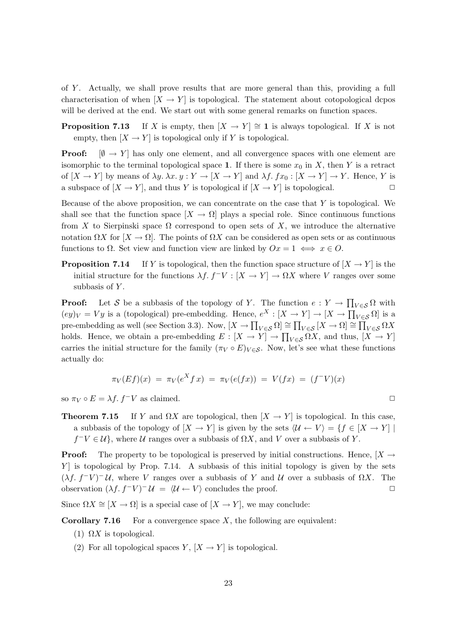of Y . Actually, we shall prove results that are more general than this, providing a full characterisation of when  $[X \to Y]$  is topological. The statement about cotopological dcpos will be derived at the end. We start out with some general remarks on function spaces.

**Proposition 7.13** If X is empty, then  $[X \to Y] \cong \mathbf{1}$  is always topological. If X is not empty, then  $[X \to Y]$  is topological only if Y is topological.

**Proof:**  $[\emptyset \rightarrow Y]$  has only one element, and all convergence spaces with one element are isomorphic to the terminal topological space 1. If there is some  $x_0$  in X, then Y is a retract of  $[X \to Y]$  by means of  $\lambda y$ .  $\lambda x$ .  $y : Y \to [X \to Y]$  and  $\lambda f$ .  $fx_0 : [X \to Y] \to Y$ . Hence, Y is a subspace of  $[X \to Y]$ , and thus Y is topological if  $[X \to Y]$  is topological.

Because of the above proposition, we can concentrate on the case that  $Y$  is topological. We shall see that the function space  $[X \to \Omega]$  plays a special role. Since continuous functions from X to Sierpinski space  $\Omega$  correspond to open sets of X, we introduce the alternative notation  $\Omega X$  for  $[X \to \Omega]$ . The points of  $\Omega X$  can be considered as open sets or as continuous functions to  $\Omega$ . Set view and function view are linked by  $Ox = 1 \iff x \in O$ .

**Proposition 7.14** If Y is topological, then the function space structure of  $[X \rightarrow Y]$  is the initial structure for the functions  $\lambda f$ .  $f^-V : [X \to Y] \to \Omega X$  where V ranges over some subbasis of  $Y$ .

**Proof:** Let S be a subbasis of the topology of Y. The function  $e: Y \to \prod_{V \in S} \Omega$  with  $(ey)_V = Vy$  is a (topological) pre-embedding. Hence,  $e^X : [X \to Y] \to [X \to \prod_{V \in S} \Omega]$  is a pre-embedding as well (see Section 3.3). Now,  $[X \to \prod_{V \in \mathcal{S}} \Omega] \cong \prod_{V \in \mathcal{S}} [X \to \Omega] \cong \prod_{V \in \mathcal{S}} \Omega X$ holds. Hence, we obtain a pre-embedding  $E: [X \to Y] \to \prod_{V \in S} \Omega X$ , and thus,  $[X \to Y]$ carries the initial structure for the family  $(\pi_V \circ E)_{V \in S}$ . Now, let's see what these functions actually do:

$$
\pi_V(Ef)(x) = \pi_V(e^X f x) = \pi_V(e(fx)) = V(fx) = (f^-V)(x)
$$

so  $\pi_V \circ E = \lambda f$ .  $f^- V$  as claimed.

**Theorem 7.15** If Y and  $\Omega X$  are topological, then  $[X \rightarrow Y]$  is topological. In this case, a subbasis of the topology of  $[X \to Y]$  is given by the sets  $\langle \mathcal{U} \leftarrow V \rangle = \{f \in [X \to Y] \mid$  $f^-V \in \mathcal{U}$ , where  $\mathcal U$  ranges over a subbasis of  $\Omega X$ , and V over a subbasis of Y.

**Proof:** The property to be topological is preserved by initial constructions. Hence,  $[X \rightarrow$  $Y$  is topological by Prop. 7.14. A subbasis of this initial topology is given by the sets  $(\lambda f. f^- V)^- \mathcal{U}$ , where V ranges over a subbasis of Y and U over a subbasis of  $\Omega X$ . The observation  $(\lambda f. f^{-}V)^{-}U = \langle U \leftarrow V \rangle$  concludes the proof.

Since  $\Omega X \cong [X \to \Omega]$  is a special case of  $[X \to Y]$ , we may conclude:

**Corollary 7.16** For a convergence space  $X$ , the following are equivalent:

- (1)  $\Omega X$  is topological.
- (2) For all topological spaces Y,  $[X \to Y]$  is topological.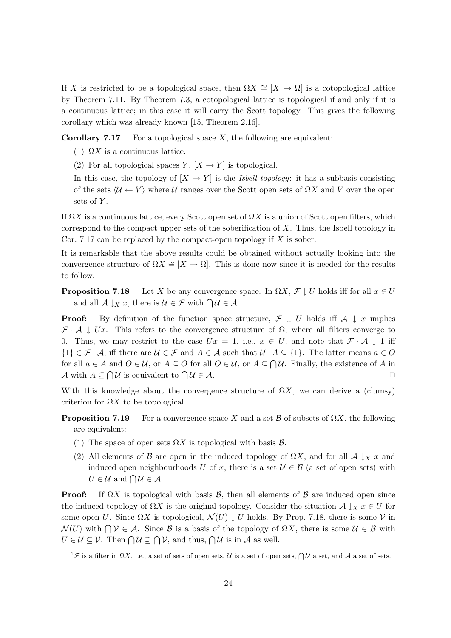If X is restricted to be a topological space, then  $\Omega X \cong [X \to \Omega]$  is a cotopological lattice by Theorem 7.11. By Theorem 7.3, a cotopological lattice is topological if and only if it is a continuous lattice; in this case it will carry the Scott topology. This gives the following corollary which was already known [15, Theorem 2.16].

**Corollary 7.17** For a topological space X, the following are equivalent:

- (1)  $\Omega X$  is a continuous lattice.
- (2) For all topological spaces Y,  $[X \to Y]$  is topological.

In this case, the topology of  $[X \to Y]$  is the *Isbell topology*: it has a subbasis consisting of the sets  $\langle U \leftarrow V \rangle$  where U ranges over the Scott open sets of  $\Omega X$  and V over the open sets of  $Y$ .

If  $\Omega X$  is a continuous lattice, every Scott open set of  $\Omega X$  is a union of Scott open filters, which correspond to the compact upper sets of the soberification of  $X$ . Thus, the Isbell topology in Cor. 7.17 can be replaced by the compact-open topology if  $X$  is sober.

It is remarkable that the above results could be obtained without actually looking into the convergence structure of  $\Omega X \cong [X \to \Omega]$ . This is done now since it is needed for the results to follow.

**Proposition 7.18** Let X be any convergence space. In  $\Omega X$ ,  $\mathcal{F} \downarrow U$  holds iff for all  $x \in U$ and all  $\mathcal{A} \downarrow_X x$ , there is  $\mathcal{U} \in \mathcal{F}$  with  $\bigcap \mathcal{U} \in \mathcal{A}$ .<sup>1</sup>

**Proof:** By definition of the function space structure,  $\mathcal{F} \downarrow U$  holds iff  $\mathcal{A} \downarrow x$  implies  $\mathcal{F} \cdot \mathcal{A} \perp Ux$ . This refers to the convergence structure of  $\Omega$ , where all filters converge to 0. Thus, we may restrict to the case  $Ux = 1$ , i.e.,  $x \in U$ , and note that  $\mathcal{F} \cdot \mathcal{A} \downarrow 1$  iff  $\{1\} \in \mathcal{F} \cdot \mathcal{A}$ , iff there are  $\mathcal{U} \in \mathcal{F}$  and  $A \in \mathcal{A}$  such that  $\mathcal{U} \cdot A \subseteq \{1\}$ . The latter means  $a \in O$ for all  $a \in A$  and  $O \in \mathcal{U}$ , or  $A \subseteq O$  for all  $O \in \mathcal{U}$ , or  $A \subseteq \bigcap \mathcal{U}$ . Finally, the existence of A in A with  $A \subseteq \bigcap \mathcal{U}$  is equivalent to  $\bigcap \mathcal{U} \in \mathcal{A}$ .

With this knowledge about the convergence structure of  $\Omega X$ , we can derive a (clumsy) criterion for  $\Omega X$  to be topological.

- **Proposition 7.19** For a convergence space X and a set B of subsets of  $\Omega X$ , the following are equivalent:
	- (1) The space of open sets  $\Omega X$  is topological with basis  $\mathcal{B}$ .
	- (2) All elements of B are open in the induced topology of  $\Omega X$ , and for all  $\mathcal{A} \downarrow_X x$  and induced open neighbourhoods U of x, there is a set  $\mathcal{U} \in \mathcal{B}$  (a set of open sets) with  $U \in \mathcal{U}$  and  $\bigcap \mathcal{U} \in \mathcal{A}$ .

**Proof:** If  $\Omega X$  is topological with basis  $\mathcal{B}$ , then all elements of  $\mathcal{B}$  are induced open since the induced topology of  $\Omega X$  is the original topology. Consider the situation  $\mathcal{A} \downarrow_X x \in U$  for some open U. Since  $\Omega X$  is topological,  $\mathcal{N}(U) \downarrow U$  holds. By Prop. 7.18, there is some V in  $\mathcal{N}(U)$  with  $\bigcap \mathcal{V} \in \mathcal{A}$ . Since  $\mathcal{B}$  is a basis of the topology of  $\Omega X$ , there is some  $\mathcal{U} \in \mathcal{B}$  with  $U \in \mathcal{U} \subseteq \mathcal{V}$ . Then  $\bigcap \mathcal{U} \supseteq \bigcap \mathcal{V}$ , and thus,  $\bigcap \mathcal{U}$  is in A as well.

 ${}^1\mathcal{F}$  is a filter in  $\Omega X$ , i.e., a set of sets of open sets,  $\mathcal{U}$  is a set of open sets,  $\bigcap \mathcal{U}$  a set, and  $\mathcal{A}$  a set of sets.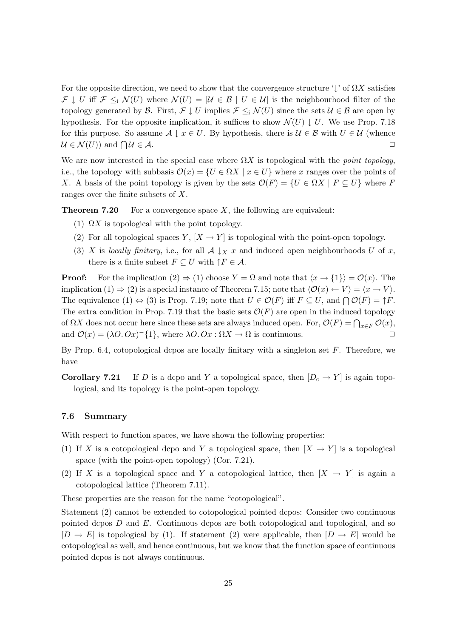For the opposite direction, we need to show that the convergence structure  $\downarrow$  of  $\Omega X$  satisfies  $\mathcal{F} \downarrow U$  iff  $\mathcal{F} \leq_i \mathcal{N}(U)$  where  $\mathcal{N}(U) = |\mathcal{U} \in \mathcal{B} | U \in \mathcal{U}|$  is the neighbourhood filter of the topology generated by B. First,  $\mathcal{F} \downarrow U$  implies  $\mathcal{F} \leq_i \mathcal{N}(U)$  since the sets  $\mathcal{U} \in \mathcal{B}$  are open by hypothesis. For the opposite implication, it suffices to show  $\mathcal{N}(U) \downarrow U$ . We use Prop. 7.18 for this purpose. So assume  $\mathcal{A} \downarrow x \in U$ . By hypothesis, there is  $\mathcal{U} \in \mathcal{B}$  with  $U \in \mathcal{U}$  (whence  $\mathcal{U} \in \mathcal{N}(U)$  and  $\bigcap \mathcal{U} \in \mathcal{A}$ .  $\mathcal{U} \in \mathcal{A}.$ 

We are now interested in the special case where  $\Omega X$  is topological with the *point topology*, i.e., the topology with subbasis  $\mathcal{O}(x) = \{U \in \Omega X \mid x \in U\}$  where x ranges over the points of X. A basis of the point topology is given by the sets  $\mathcal{O}(F) = \{U \in \Omega X \mid F \subseteq U\}$  where F ranges over the finite subsets of X.

**Theorem 7.20** For a convergence space  $X$ , the following are equivalent:

- (1)  $\Omega X$  is topological with the point topology.
- (2) For all topological spaces Y,  $[X \to Y]$  is topological with the point-open topology.
- (3) X is locally finitary, i.e., for all  $A \downarrow_X x$  and induced open neighbourhoods U of x, there is a finite subset  $F \subseteq U$  with  $\uparrow F \in \mathcal{A}$ .

**Proof:** For the implication  $(2) \Rightarrow (1)$  choose  $Y = \Omega$  and note that  $\langle x \rightarrow \{1\} \rangle = \mathcal{O}(x)$ . The implication (1)  $\Rightarrow$  (2) is a special instance of Theorem 7.15; note that  $\langle \mathcal{O}(x) \leftarrow V \rangle = \langle x \rightarrow V \rangle$ . The equivalence  $(1) \Leftrightarrow (3)$  is Prop. 7.19; note that  $U \in \mathcal{O}(F)$  iff  $F \subseteq U$ , and  $\bigcap \mathcal{O}(F) = \uparrow F$ . The extra condition in Prop. 7.19 that the basic sets  $\mathcal{O}(F)$  are open in the induced topology of  $\Omega X$  does not occur here since these sets are always induced open. For,  $\mathcal{O}(F) = \bigcap_{x \in F} \mathcal{O}(x)$ , and  $\mathcal{O}(x) = (\lambda O. Ox)^{-1} \{1\}$ , where  $\lambda O. Ox : \Omega X \to \Omega$  is continuous.

By Prop. 6.4, cotopological dcpos are locally finitary with a singleton set  $F$ . Therefore, we have

**Corollary 7.21** If D is a dcpo and Y a topological space, then  $[D_c \rightarrow Y]$  is again topological, and its topology is the point-open topology.

#### 7.6 Summary

With respect to function spaces, we have shown the following properties:

- (1) If X is a cotopological dcpo and Y a topological space, then  $[X \to Y]$  is a topological space (with the point-open topology) (Cor. 7.21).
- (2) If X is a topological space and Y a cotopological lattice, then  $[X \rightarrow Y]$  is again a cotopological lattice (Theorem 7.11).

These properties are the reason for the name "cotopological".

Statement (2) cannot be extended to cotopological pointed dcpos: Consider two continuous pointed dcpos  $D$  and  $E$ . Continuous dcpos are both cotopological and topological, and so  $[D \to E]$  is topological by (1). If statement (2) were applicable, then  $[D \to E]$  would be cotopological as well, and hence continuous, but we know that the function space of continuous pointed dcpos is not always continuous.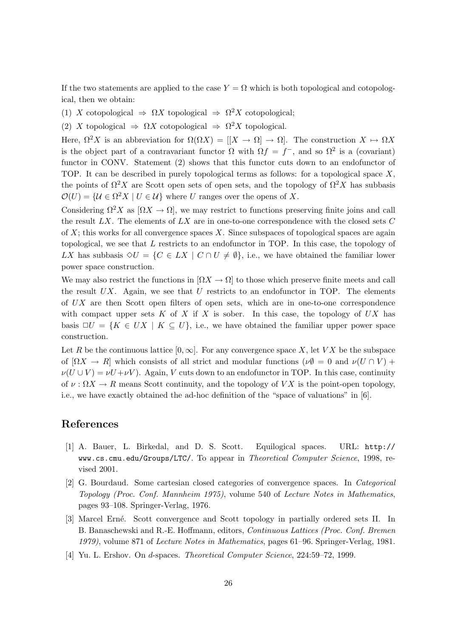If the two statements are applied to the case  $Y = \Omega$  which is both topological and cotopological, then we obtain:

(1) X cotopological  $\Rightarrow \Omega X$  topological  $\Rightarrow \Omega^2 X$  cotopological;

(2) X topological  $\Rightarrow \Omega X$  cotopological  $\Rightarrow \Omega^2 X$  topological.

Here,  $\Omega^2 X$  is an abbreviation for  $\Omega(\Omega X) = |[X \to \Omega] \to \Omega$ . The construction  $X \to \Omega X$ is the object part of a contravariant functor  $\Omega$  with  $\Omega f = f^-$ , and so  $\Omega^2$  is a (covariant) functor in CONV. Statement (2) shows that this functor cuts down to an endofunctor of TOP. It can be described in purely topological terms as follows: for a topological space X, the points of  $\Omega^2 X$  are Scott open sets of open sets, and the topology of  $\Omega^2 X$  has subbasis  $\mathcal{O}(U) = \{ \mathcal{U} \in \Omega^2 X \mid U \in \mathcal{U} \}$  where U ranges over the opens of X.

Considering  $\Omega^2 X$  as  $[\Omega X \to \Omega]$ , we may restrict to functions preserving finite joins and call the result  $LX$ . The elements of  $LX$  are in one-to-one correspondence with the closed sets  $C$ of  $X$ ; this works for all convergence spaces  $X$ . Since subspaces of topological spaces are again topological, we see that L restricts to an endofunctor in TOP. In this case, the topology of LX has subbasis  $\Diamond U = \{C \in LX \mid C \cap U \neq \emptyset\}$ , i.e., we have obtained the familiar lower power space construction.

We may also restrict the functions in  $[\Omega X \to \Omega]$  to those which preserve finite meets and call the result  $UX$ . Again, we see that  $U$  restricts to an endofunctor in TOP. The elements of UX are then Scott open filters of open sets, which are in one-to-one correspondence with compact upper sets K of X if X is sober. In this case, the topology of  $UX$  has basis  $\Box U = \{K \in UX \mid K \subseteq U\}$ , i.e., we have obtained the familiar upper power space construction.

Let R be the continuous lattice  $[0,\infty]$ . For any convergence space X, let VX be the subspace of  $[\Omega X \to R]$  which consists of all strict and modular functions  $(\nu \emptyset = 0$  and  $\nu(U \cap V)$  +  $\nu(U \cup V) = \nu U + \nu V$ . Again, V cuts down to an endofunctor in TOP. In this case, continuity of  $\nu : \Omega X \to R$  means Scott continuity, and the topology of VX is the point-open topology, i.e., we have exactly obtained the ad-hoc definition of the "space of valuations" in [6].

## References

- [1] A. Bauer, L. Birkedal, and D. S. Scott. Equilogical spaces. URL: http:// www.cs.cmu.edu/Groups/LTC/. To appear in Theoretical Computer Science, 1998, revised 2001.
- [2] G. Bourdaud. Some cartesian closed categories of convergence spaces. In Categorical Topology (Proc. Conf. Mannheim 1975), volume 540 of Lecture Notes in Mathematics, pages 93–108. Springer-Verlag, 1976.
- [3] Marcel Erné. Scott convergence and Scott topology in partially ordered sets II. In B. Banaschewski and R.-E. Hoffmann, editors, Continuous Lattices (Proc. Conf. Bremen 1979), volume 871 of Lecture Notes in Mathematics, pages 61–96. Springer-Verlag, 1981.
- [4] Yu. L. Ershov. On d-spaces. Theoretical Computer Science, 224:59–72, 1999.